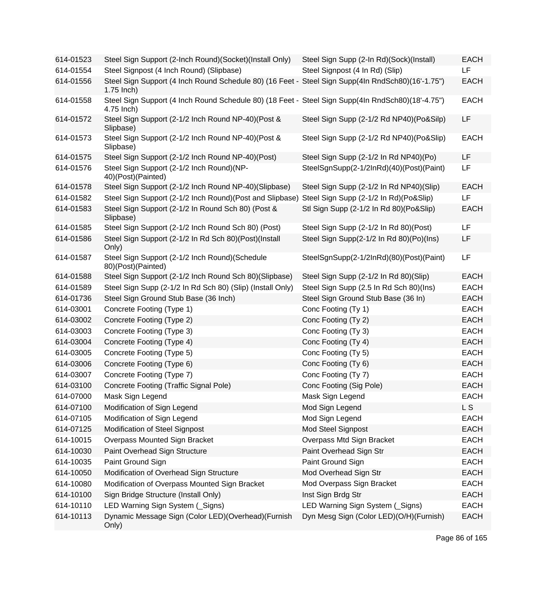| 614-01523 | Steel Sign Support (2-Inch Round)(Socket)(Install Only)                                                           | Steel Sign Supp (2-In Rd)(Sock)(Install) | <b>EACH</b> |
|-----------|-------------------------------------------------------------------------------------------------------------------|------------------------------------------|-------------|
| 614-01554 | Steel Signpost (4 Inch Round) (Slipbase)                                                                          | Steel Signpost (4 In Rd) (Slip)          | <b>LF</b>   |
| 614-01556 | Steel Sign Support (4 Inch Round Schedule 80) (16 Feet - Steel Sign Supp(4In RndSch80)(16'-1.75")<br>$1.75$ Inch) |                                          | <b>EACH</b> |
| 614-01558 | Steel Sign Support (4 Inch Round Schedule 80) (18 Feet - Steel Sign Supp(4In RndSch80)(18'-4.75")<br>4.75 Inch)   |                                          | <b>EACH</b> |
| 614-01572 | Steel Sign Support (2-1/2 Inch Round NP-40)(Post &<br>Slipbase)                                                   | Steel Sign Supp (2-1/2 Rd NP40)(Po&Silp) | LF          |
| 614-01573 | Steel Sign Support (2-1/2 Inch Round NP-40)(Post &<br>Slipbase)                                                   | Steel Sign Supp (2-1/2 Rd NP40)(Po&Slip) | <b>EACH</b> |
| 614-01575 | Steel Sign Support (2-1/2 Inch Round NP-40)(Post)                                                                 | Steel Sign Supp (2-1/2 In Rd NP40)(Po)   | LF          |
| 614-01576 | Steel Sign Support (2-1/2 Inch Round)(NP-<br>40)(Post)(Painted)                                                   | SteelSgnSupp(2-1/2InRd)(40)(Post)(Paint) | LF          |
| 614-01578 | Steel Sign Support (2-1/2 Inch Round NP-40)(Slipbase)                                                             | Steel Sign Supp (2-1/2 In Rd NP40)(Slip) | <b>EACH</b> |
| 614-01582 | Steel Sign Support (2-1/2 Inch Round) (Post and Slipbase)                                                         | Steel Sign Supp (2-1/2 In Rd)(Po&Slip)   | LF          |
| 614-01583 | Steel Sign Support (2-1/2 In Round Sch 80) (Post &<br>Slipbase)                                                   | Stl Sign Supp (2-1/2 In Rd 80)(Po&Slip)  | <b>EACH</b> |
| 614-01585 | Steel Sign Support (2-1/2 Inch Round Sch 80) (Post)                                                               | Steel Sign Supp (2-1/2 In Rd 80)(Post)   | LF          |
| 614-01586 | Steel Sign Support (2-1/2 In Rd Sch 80)(Post)(Install<br>Only)                                                    | Steel Sign Supp(2-1/2 In Rd 80)(Po)(Ins) | LF          |
| 614-01587 | Steel Sign Support (2-1/2 Inch Round)(Schedule<br>80)(Post)(Painted)                                              | SteelSgnSupp(2-1/2InRd)(80)(Post)(Paint) | LF          |
| 614-01588 | Steel Sign Support (2-1/2 Inch Round Sch 80)(Slipbase)                                                            | Steel Sign Supp (2-1/2 In Rd 80)(Slip)   | <b>EACH</b> |
| 614-01589 | Steel Sign Supp (2-1/2 In Rd Sch 80) (Slip) (Install Only)                                                        | Steel Sign Supp (2.5 In Rd Sch 80)(Ins)  | <b>EACH</b> |
| 614-01736 | Steel Sign Ground Stub Base (36 Inch)                                                                             | Steel Sign Ground Stub Base (36 In)      | <b>EACH</b> |
| 614-03001 | Concrete Footing (Type 1)                                                                                         | Conc Footing (Ty 1)                      | <b>EACH</b> |
| 614-03002 | Concrete Footing (Type 2)                                                                                         | Conc Footing (Ty 2)                      | <b>EACH</b> |
| 614-03003 | Concrete Footing (Type 3)                                                                                         | Conc Footing (Ty 3)                      | <b>EACH</b> |
| 614-03004 | Concrete Footing (Type 4)                                                                                         | Conc Footing (Ty 4)                      | <b>EACH</b> |
| 614-03005 | Concrete Footing (Type 5)                                                                                         | Conc Footing (Ty 5)                      | <b>EACH</b> |
| 614-03006 | Concrete Footing (Type 6)                                                                                         | Conc Footing (Ty 6)                      | <b>EACH</b> |
| 614-03007 | Concrete Footing (Type 7)                                                                                         | Conc Footing (Ty 7)                      | <b>EACH</b> |
| 614-03100 | Concrete Footing (Traffic Signal Pole)                                                                            | Conc Footing (Sig Pole)                  | <b>EACH</b> |
| 614-07000 | Mask Sign Legend                                                                                                  | Mask Sign Legend                         | EACH        |
| 614-07100 | Modification of Sign Legend                                                                                       | Mod Sign Legend                          | <b>LS</b>   |
| 614-07105 | Modification of Sign Legend                                                                                       | Mod Sign Legend                          | <b>EACH</b> |
| 614-07125 | Modification of Steel Signpost                                                                                    | Mod Steel Signpost                       | <b>EACH</b> |
| 614-10015 | Overpass Mounted Sign Bracket                                                                                     | Overpass Mtd Sign Bracket                | <b>EACH</b> |
| 614-10030 | Paint Overhead Sign Structure                                                                                     | Paint Overhead Sign Str                  | <b>EACH</b> |
| 614-10035 | Paint Ground Sign                                                                                                 | Paint Ground Sign                        | <b>EACH</b> |
| 614-10050 | Modification of Overhead Sign Structure                                                                           | Mod Overhead Sign Str                    | <b>EACH</b> |
| 614-10080 | Modification of Overpass Mounted Sign Bracket                                                                     | Mod Overpass Sign Bracket                | <b>EACH</b> |
| 614-10100 | Sign Bridge Structure (Install Only)                                                                              | Inst Sign Brdg Str                       | <b>EACH</b> |
| 614-10110 | LED Warning Sign System (Signs)                                                                                   | LED Warning Sign System (Signs)          | <b>EACH</b> |
| 614-10113 | Dynamic Message Sign (Color LED)(Overhead)(Furnish<br>Only)                                                       | Dyn Mesg Sign (Color LED)(O/H)(Furnish)  | <b>EACH</b> |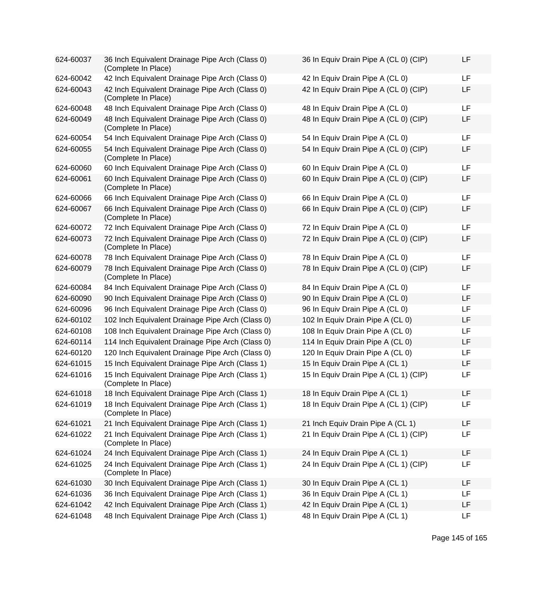| 624-60037 | 36 Inch Equivalent Drainage Pipe Arch (Class 0)<br>(Complete In Place) | 36 In Equiv Drain Pipe A (CL 0) (CIP) | <b>LF</b> |
|-----------|------------------------------------------------------------------------|---------------------------------------|-----------|
| 624-60042 | 42 Inch Equivalent Drainage Pipe Arch (Class 0)                        | 42 In Equiv Drain Pipe A (CL 0)       | <b>LF</b> |
| 624-60043 | 42 Inch Equivalent Drainage Pipe Arch (Class 0)<br>(Complete In Place) | 42 In Equiv Drain Pipe A (CL 0) (CIP) | LF        |
| 624-60048 | 48 Inch Equivalent Drainage Pipe Arch (Class 0)                        | 48 In Equiv Drain Pipe A (CL 0)       | LF        |
| 624-60049 | 48 Inch Equivalent Drainage Pipe Arch (Class 0)<br>(Complete In Place) | 48 In Equiv Drain Pipe A (CL 0) (CIP) | <b>LF</b> |
| 624-60054 | 54 Inch Equivalent Drainage Pipe Arch (Class 0)                        | 54 In Equiv Drain Pipe A (CL 0)       | <b>LF</b> |
| 624-60055 | 54 Inch Equivalent Drainage Pipe Arch (Class 0)<br>(Complete In Place) | 54 In Equiv Drain Pipe A (CL 0) (CIP) | LF        |
| 624-60060 | 60 Inch Equivalent Drainage Pipe Arch (Class 0)                        | 60 In Equiv Drain Pipe A (CL 0)       | LF        |
| 624-60061 | 60 Inch Equivalent Drainage Pipe Arch (Class 0)<br>(Complete In Place) | 60 In Equiv Drain Pipe A (CL 0) (CIP) | <b>LF</b> |
| 624-60066 | 66 Inch Equivalent Drainage Pipe Arch (Class 0)                        | 66 In Equiv Drain Pipe A (CL 0)       | <b>LF</b> |
| 624-60067 | 66 Inch Equivalent Drainage Pipe Arch (Class 0)<br>(Complete In Place) | 66 In Equiv Drain Pipe A (CL 0) (CIP) | LF        |
| 624-60072 | 72 Inch Equivalent Drainage Pipe Arch (Class 0)                        | 72 In Equiv Drain Pipe A (CL 0)       | <b>LF</b> |
| 624-60073 | 72 Inch Equivalent Drainage Pipe Arch (Class 0)<br>(Complete In Place) | 72 In Equiv Drain Pipe A (CL 0) (CIP) | LF        |
| 624-60078 | 78 Inch Equivalent Drainage Pipe Arch (Class 0)                        | 78 In Equiv Drain Pipe A (CL 0)       | LF        |
| 624-60079 | 78 Inch Equivalent Drainage Pipe Arch (Class 0)<br>(Complete In Place) | 78 In Equiv Drain Pipe A (CL 0) (CIP) | LF        |
| 624-60084 | 84 Inch Equivalent Drainage Pipe Arch (Class 0)                        | 84 In Equiv Drain Pipe A (CL 0)       | <b>LF</b> |
| 624-60090 | 90 Inch Equivalent Drainage Pipe Arch (Class 0)                        | 90 In Equiv Drain Pipe A (CL 0)       | LF        |
| 624-60096 | 96 Inch Equivalent Drainage Pipe Arch (Class 0)                        | 96 In Equiv Drain Pipe A (CL 0)       | LF        |
| 624-60102 | 102 Inch Equivalent Drainage Pipe Arch (Class 0)                       | 102 In Equiv Drain Pipe A (CL 0)      | LF        |
| 624-60108 | 108 Inch Equivalent Drainage Pipe Arch (Class 0)                       | 108 In Equiv Drain Pipe A (CL 0)      | LF        |
| 624-60114 | 114 Inch Equivalent Drainage Pipe Arch (Class 0)                       | 114 In Equiv Drain Pipe A (CL 0)      | <b>LF</b> |
| 624-60120 | 120 Inch Equivalent Drainage Pipe Arch (Class 0)                       | 120 In Equiv Drain Pipe A (CL 0)      | LF        |
| 624-61015 | 15 Inch Equivalent Drainage Pipe Arch (Class 1)                        | 15 In Equiv Drain Pipe A (CL 1)       | LF        |
| 624-61016 | 15 Inch Equivalent Drainage Pipe Arch (Class 1)<br>(Complete In Place) | 15 In Equiv Drain Pipe A (CL 1) (CIP) | LF        |
| 624-61018 | 18 Inch Equivalent Drainage Pipe Arch (Class 1)                        | 18 In Equiv Drain Pipe A (CL 1)       | LF        |
| 624-61019 | 18 Inch Equivalent Drainage Pipe Arch (Class 1)<br>(Complete In Place) | 18 In Equiv Drain Pipe A (CL 1) (CIP) | LF        |
| 624-61021 | 21 Inch Equivalent Drainage Pipe Arch (Class 1)                        | 21 Inch Equiv Drain Pipe A (CL 1)     | LF        |
| 624-61022 | 21 Inch Equivalent Drainage Pipe Arch (Class 1)<br>(Complete In Place) | 21 In Equiv Drain Pipe A (CL 1) (CIP) | LF        |
| 624-61024 | 24 Inch Equivalent Drainage Pipe Arch (Class 1)                        | 24 In Equiv Drain Pipe A (CL 1)       | LF        |
| 624-61025 | 24 Inch Equivalent Drainage Pipe Arch (Class 1)<br>(Complete In Place) | 24 In Equiv Drain Pipe A (CL 1) (CIP) | LF        |
| 624-61030 | 30 Inch Equivalent Drainage Pipe Arch (Class 1)                        | 30 In Equiv Drain Pipe A (CL 1)       | LF        |
| 624-61036 | 36 Inch Equivalent Drainage Pipe Arch (Class 1)                        | 36 In Equiv Drain Pipe A (CL 1)       | LF        |
| 624-61042 | 42 Inch Equivalent Drainage Pipe Arch (Class 1)                        | 42 In Equiv Drain Pipe A (CL 1)       | LF        |
| 624-61048 | 48 Inch Equivalent Drainage Pipe Arch (Class 1)                        | 48 In Equiv Drain Pipe A (CL 1)       | LF        |

| 36 In Equiv Drain Pipe A (CL 0) (CIP) | LF |
|---------------------------------------|----|
| 42 In Equiv Drain Pipe A (CL 0)       | LF |
| 42 In Equiv Drain Pipe A (CL 0) (CIP) | LF |
| 48 In Equiv Drain Pipe A (CL 0)       | LF |
| 48 In Equiv Drain Pipe A (CL 0) (CIP) | LF |
| 54 In Equiv Drain Pipe A (CL 0)       | LF |
| 54 In Equiv Drain Pipe A (CL 0) (CIP) | LF |
| 60 In Equiv Drain Pipe A (CL 0)       | LF |
| 60 In Equiv Drain Pipe A (CL 0) (CIP) | LF |
| 66 In Equiv Drain Pipe A (CL 0)       | LF |
| 66 In Equiv Drain Pipe A (CL 0) (CIP) | LF |
| 72 In Equiv Drain Pipe A (CL 0)       | LF |
| 72 In Equiv Drain Pipe A (CL 0) (CIP) | LF |
| 78 In Equiv Drain Pipe A (CL 0)       | LF |
| 78 In Equiv Drain Pipe A (CL 0) (CIP) | LF |
| 84 In Equiv Drain Pipe A (CL 0)       | LF |
| 90 In Equiv Drain Pipe A (CL 0)       | LF |
| 96 In Equiv Drain Pipe A (CL 0)       | LF |
| 102 In Equiv Drain Pipe A (CL 0)      | LF |
| 108 In Equiv Drain Pipe A (CL 0)      | LF |
| 114 In Equiv Drain Pipe A (CL 0)      | LF |
| 120 In Equiv Drain Pipe A (CL 0)      | LF |
| 15 In Equiv Drain Pipe A (CL 1)       | LF |
| 15 In Equiv Drain Pipe A (CL 1) (CIP) | LF |
| 18 In Equiv Drain Pipe A (CL 1)       | LF |
| 18 In Equiv Drain Pipe A (CL 1) (CIP) | LF |
| 21 Inch Equiv Drain Pipe A (CL 1)     | LF |
| 21 In Equiv Drain Pipe A (CL 1) (CIP) | LF |
| 24 In Equiv Drain Pipe A (CL 1)       | LF |
| 24 In Equiv Drain Pipe A (CL 1) (CIP) | LF |
| 30 In Equiv Drain Pipe A (CL 1)       | LF |
| 36 In Equiv Drain Pipe A (CL 1)       | LF |
| 42 In Equiv Drain Pipe A (CL 1)       | LF |
| 48 In Equiv Drain Pipe A (CL 1)       | LF |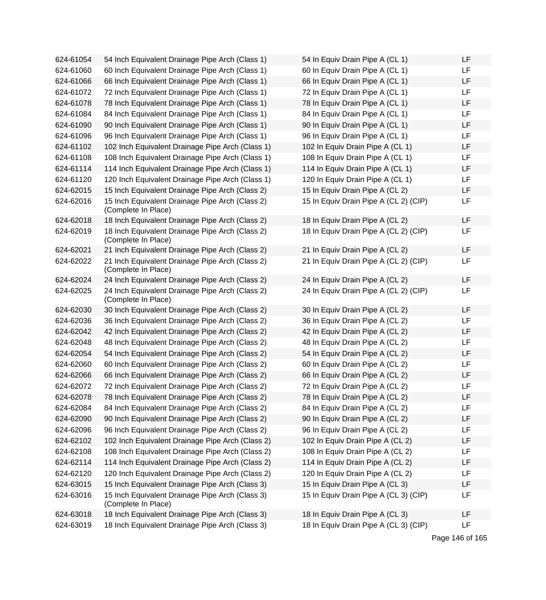| 624-61054 | 54 Inch Equivalent Drainage Pipe Arch (Class 1)                        | 54 In Equiv Drain Pipe A (CL 1)       | <b>LF</b> |
|-----------|------------------------------------------------------------------------|---------------------------------------|-----------|
| 624-61060 | 60 Inch Equivalent Drainage Pipe Arch (Class 1)                        | 60 In Equiv Drain Pipe A (CL 1)       | <b>LF</b> |
| 624-61066 | 66 Inch Equivalent Drainage Pipe Arch (Class 1)                        | 66 In Equiv Drain Pipe A (CL 1)       | LF        |
| 624-61072 | 72 Inch Equivalent Drainage Pipe Arch (Class 1)                        | 72 In Equiv Drain Pipe A (CL 1)       | LF        |
| 624-61078 | 78 Inch Equivalent Drainage Pipe Arch (Class 1)                        | 78 In Equiv Drain Pipe A (CL 1)       | LF        |
| 624-61084 | 84 Inch Equivalent Drainage Pipe Arch (Class 1)                        | 84 In Equiv Drain Pipe A (CL 1)       | LF        |
| 624-61090 | 90 Inch Equivalent Drainage Pipe Arch (Class 1)                        | 90 In Equiv Drain Pipe A (CL 1)       | LF        |
| 624-61096 | 96 Inch Equivalent Drainage Pipe Arch (Class 1)                        | 96 In Equiv Drain Pipe A (CL 1)       | LF        |
| 624-61102 | 102 Inch Equivalent Drainage Pipe Arch (Class 1)                       | 102 In Equiv Drain Pipe A (CL 1)      | LF        |
| 624-61108 | 108 Inch Equivalent Drainage Pipe Arch (Class 1)                       | 108 In Equiv Drain Pipe A (CL 1)      | LF        |
| 624-61114 | 114 Inch Equivalent Drainage Pipe Arch (Class 1)                       | 114 In Equiv Drain Pipe A (CL 1)      | LF        |
| 624-61120 | 120 Inch Equivalent Drainage Pipe Arch (Class 1)                       | 120 In Equiv Drain Pipe A (CL 1)      | LF        |
| 624-62015 | 15 Inch Equivalent Drainage Pipe Arch (Class 2)                        | 15 In Equiv Drain Pipe A (CL 2)       | LF        |
| 624-62016 | 15 Inch Equivalent Drainage Pipe Arch (Class 2)<br>(Complete In Place) | 15 In Equiv Drain Pipe A (CL 2) (CIP) | LF        |
| 624-62018 | 18 Inch Equivalent Drainage Pipe Arch (Class 2)                        | 18 In Equiv Drain Pipe A (CL 2)       | LF        |
| 624-62019 | 18 Inch Equivalent Drainage Pipe Arch (Class 2)<br>(Complete In Place) | 18 In Equiv Drain Pipe A (CL 2) (CIP) | LF        |
| 624-62021 | 21 Inch Equivalent Drainage Pipe Arch (Class 2)                        | 21 In Equiv Drain Pipe A (CL 2)       | LF        |
| 624-62022 | 21 Inch Equivalent Drainage Pipe Arch (Class 2)<br>(Complete In Place) | 21 In Equiv Drain Pipe A (CL 2) (CIP) | <b>LF</b> |
| 624-62024 | 24 Inch Equivalent Drainage Pipe Arch (Class 2)                        | 24 In Equiv Drain Pipe A (CL 2)       | <b>LF</b> |
| 624-62025 | 24 Inch Equivalent Drainage Pipe Arch (Class 2)<br>(Complete In Place) | 24 In Equiv Drain Pipe A (CL 2) (CIP) | LF        |
| 624-62030 | 30 Inch Equivalent Drainage Pipe Arch (Class 2)                        | 30 In Equiv Drain Pipe A (CL 2)       | LF        |
| 624-62036 | 36 Inch Equivalent Drainage Pipe Arch (Class 2)                        | 36 In Equiv Drain Pipe A (CL 2)       | LF        |
| 624-62042 | 42 Inch Equivalent Drainage Pipe Arch (Class 2)                        | 42 In Equiv Drain Pipe A (CL 2)       | LF        |
| 624-62048 | 48 Inch Equivalent Drainage Pipe Arch (Class 2)                        | 48 In Equiv Drain Pipe A (CL 2)       | LF        |
| 624-62054 | 54 Inch Equivalent Drainage Pipe Arch (Class 2)                        | 54 In Equiv Drain Pipe A (CL 2)       | LF        |
| 624-62060 | 60 Inch Equivalent Drainage Pipe Arch (Class 2)                        | 60 In Equiv Drain Pipe A (CL 2)       | LF        |
| 624-62066 | 66 Inch Equivalent Drainage Pipe Arch (Class 2)                        | 66 In Equiv Drain Pipe A (CL 2)       | LF        |
| 624-62072 | 72 Inch Equivalent Drainage Pipe Arch (Class 2)                        | 72 In Equiv Drain Pipe A (CL 2)       | LF        |
| 624-62078 | 78 Inch Equivalent Drainage Pipe Arch (Class 2)                        | 78 In Equiv Drain Pipe A (CL 2)       | LF        |
| 624-62084 | 84 Inch Equivalent Drainage Pipe Arch (Class 2)                        | 84 In Equiv Drain Pipe A (CL 2)       | LF        |
| 624-62090 | 90 Inch Equivalent Drainage Pipe Arch (Class 2)                        | 90 In Equiv Drain Pipe A (CL 2)       | LF        |
| 624-62096 | 96 Inch Equivalent Drainage Pipe Arch (Class 2)                        | 96 In Equiv Drain Pipe A (CL 2)       | LF        |
| 624-62102 | 102 Inch Equivalent Drainage Pipe Arch (Class 2)                       | 102 In Equiv Drain Pipe A (CL 2)      | LF        |
| 624-62108 | 108 Inch Equivalent Drainage Pipe Arch (Class 2)                       | 108 In Equiv Drain Pipe A (CL 2)      | LF        |
| 624-62114 | 114 Inch Equivalent Drainage Pipe Arch (Class 2)                       | 114 In Equiv Drain Pipe A (CL 2)      | LF        |
| 624-62120 | 120 Inch Equivalent Drainage Pipe Arch (Class 2)                       | 120 In Equiv Drain Pipe A (CL 2)      | LF        |
| 624-63015 | 15 Inch Equivalent Drainage Pipe Arch (Class 3)                        | 15 In Equiv Drain Pipe A (CL 3)       | LF        |
| 624-63016 | 15 Inch Equivalent Drainage Pipe Arch (Class 3)<br>(Complete In Place) | 15 In Equiv Drain Pipe A (CL 3) (CIP) | LF        |
| 624-63018 | 18 Inch Equivalent Drainage Pipe Arch (Class 3)                        | 18 In Equiv Drain Pipe A (CL 3)       | LF        |
| 624-63019 | 18 Inch Equivalent Drainage Pipe Arch (Class 3)                        | 18 In Equiv Drain Pipe A (CL 3) (CIP) | LF        |

| 54 In Equiv Drain Pipe A (CL 1)       | LF |
|---------------------------------------|----|
| 60 In Equiv Drain Pipe A (CL 1)       | LF |
| 66 In Equiv Drain Pipe A (CL 1)       | LF |
| 72 In Equiv Drain Pipe A (CL 1)       | LF |
| 78 In Equiv Drain Pipe A (CL 1)       | LF |
| 84 In Equiv Drain Pipe A (CL 1)       | LF |
| 90 In Equiv Drain Pipe A (CL 1)       | LF |
| 96 In Equiv Drain Pipe A (CL 1)       | LF |
| 102 In Equiv Drain Pipe A (CL 1)      | LF |
| 108 In Equiv Drain Pipe A (CL 1)      | LF |
| 114 In Equiv Drain Pipe A (CL 1)      | LF |
| 120 In Equiv Drain Pipe A (CL 1)      | LF |
| 15 In Equiv Drain Pipe A (CL 2)       | LF |
| 15 In Equiv Drain Pipe A (CL 2) (CIP) | LF |
| 18 In Equiv Drain Pipe A (CL 2)       | LF |
| 18 In Equiv Drain Pipe A (CL 2) (CIP) | LF |
| 21 In Equiv Drain Pipe A (CL 2)       | LF |
| 21 In Equiv Drain Pipe A (CL 2) (CIP) | LF |
| 24 In Equiv Drain Pipe A (CL 2)       | LF |
| 24 In Equiv Drain Pipe A (CL 2) (CIP) | LF |
| 30 In Equiv Drain Pipe A (CL 2)       | LF |
| 36 In Equiv Drain Pipe A (CL 2)       | LF |
| 42 In Equiv Drain Pipe A (CL 2)       | LF |
| 48 In Equiv Drain Pipe A (CL 2)       | LF |
| 54 In Equiv Drain Pipe A (CL 2)       | LF |
| 60 In Equiv Drain Pipe A (CL 2)       | LF |
| 66 In Equiv Drain Pipe A (CL 2)       | LF |
| 72 In Equiv Drain Pipe A (CL 2)       | LF |
| 78 In Equiv Drain Pipe A (CL 2)       | LF |
| 84 In Equiv Drain Pipe A (CL 2)       | LF |
| 90 In Equiv Drain Pipe A (CL 2)       | LF |
| 96 In Equiv Drain Pipe A (CL 2)       | LF |
| 102 In Equiv Drain Pipe A (CL 2)      | LF |
| 108 In Equiv Drain Pipe A (CL 2)      | LF |
| 114 In Equiv Drain Pipe A (CL 2)      | LF |
| 120 In Equiv Drain Pipe A (CL 2)      | LF |
| 15 In Equiv Drain Pipe A (CL 3)       | LF |
| 15 In Equiv Drain Pipe A (CL 3) (CIP) | LF |
| 18 In Equiv Drain Pipe A (CL 3)       | LF |
| 18 In Equiv Drain Pipe A (CL 3) (CIP) | LF |

Page 146 of 165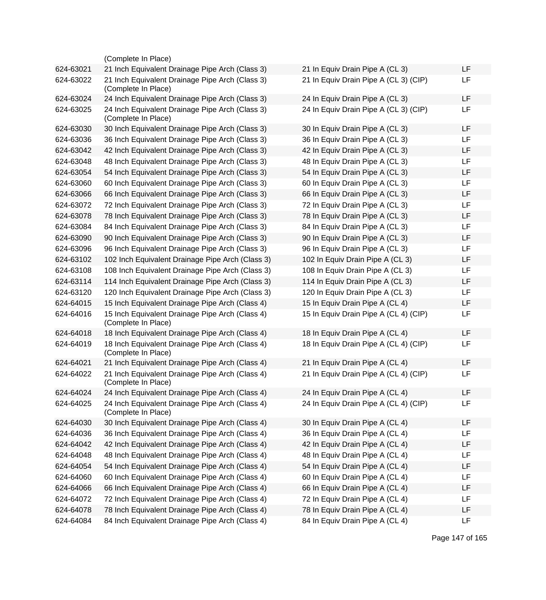|           | (Complete In Place)                                                    |                                       |           |
|-----------|------------------------------------------------------------------------|---------------------------------------|-----------|
| 624-63021 | 21 Inch Equivalent Drainage Pipe Arch (Class 3)                        | 21 In Equiv Drain Pipe A (CL 3)       | LF        |
| 624-63022 | 21 Inch Equivalent Drainage Pipe Arch (Class 3)<br>(Complete In Place) | 21 In Equiv Drain Pipe A (CL 3) (CIP) | LF        |
| 624-63024 | 24 Inch Equivalent Drainage Pipe Arch (Class 3)                        | 24 In Equiv Drain Pipe A (CL 3)       | LF        |
| 624-63025 | 24 Inch Equivalent Drainage Pipe Arch (Class 3)<br>(Complete In Place) | 24 In Equiv Drain Pipe A (CL 3) (CIP) | LF        |
| 624-63030 | 30 Inch Equivalent Drainage Pipe Arch (Class 3)                        | 30 In Equiv Drain Pipe A (CL 3)       | LF        |
| 624-63036 | 36 Inch Equivalent Drainage Pipe Arch (Class 3)                        | 36 In Equiv Drain Pipe A (CL 3)       | LF        |
| 624-63042 | 42 Inch Equivalent Drainage Pipe Arch (Class 3)                        | 42 In Equiv Drain Pipe A (CL 3)       | <b>LF</b> |
| 624-63048 | 48 Inch Equivalent Drainage Pipe Arch (Class 3)                        | 48 In Equiv Drain Pipe A (CL 3)       | <b>LF</b> |
| 624-63054 | 54 Inch Equivalent Drainage Pipe Arch (Class 3)                        | 54 In Equiv Drain Pipe A (CL 3)       | <b>LF</b> |
| 624-63060 | 60 Inch Equivalent Drainage Pipe Arch (Class 3)                        | 60 In Equiv Drain Pipe A (CL 3)       | <b>LF</b> |
| 624-63066 | 66 Inch Equivalent Drainage Pipe Arch (Class 3)                        | 66 In Equiv Drain Pipe A (CL 3)       | LF        |
| 624-63072 | 72 Inch Equivalent Drainage Pipe Arch (Class 3)                        | 72 In Equiv Drain Pipe A (CL 3)       | LF        |
| 624-63078 | 78 Inch Equivalent Drainage Pipe Arch (Class 3)                        | 78 In Equiv Drain Pipe A (CL 3)       | LF.       |
| 624-63084 | 84 Inch Equivalent Drainage Pipe Arch (Class 3)                        | 84 In Equiv Drain Pipe A (CL 3)       | LF        |
| 624-63090 | 90 Inch Equivalent Drainage Pipe Arch (Class 3)                        | 90 In Equiv Drain Pipe A (CL 3)       | LF        |
| 624-63096 | 96 Inch Equivalent Drainage Pipe Arch (Class 3)                        | 96 In Equiv Drain Pipe A (CL 3)       | LF        |
| 624-63102 | 102 Inch Equivalent Drainage Pipe Arch (Class 3)                       | 102 In Equiv Drain Pipe A (CL 3)      | LF        |
| 624-63108 | 108 Inch Equivalent Drainage Pipe Arch (Class 3)                       | 108 In Equiv Drain Pipe A (CL 3)      | <b>LF</b> |
| 624-63114 | 114 Inch Equivalent Drainage Pipe Arch (Class 3)                       | 114 In Equiv Drain Pipe A (CL 3)      | <b>LF</b> |
| 624-63120 | 120 Inch Equivalent Drainage Pipe Arch (Class 3)                       | 120 In Equiv Drain Pipe A (CL 3)      | <b>LF</b> |
| 624-64015 | 15 Inch Equivalent Drainage Pipe Arch (Class 4)                        | 15 In Equiv Drain Pipe A (CL 4)       | LF        |
| 624-64016 | 15 Inch Equivalent Drainage Pipe Arch (Class 4)<br>(Complete In Place) | 15 In Equiv Drain Pipe A (CL 4) (CIP) | LF        |
| 624-64018 | 18 Inch Equivalent Drainage Pipe Arch (Class 4)                        | 18 In Equiv Drain Pipe A (CL 4)       | LF        |
| 624-64019 | 18 Inch Equivalent Drainage Pipe Arch (Class 4)<br>(Complete In Place) | 18 In Equiv Drain Pipe A (CL 4) (CIP) | <b>LF</b> |
| 624-64021 | 21 Inch Equivalent Drainage Pipe Arch (Class 4)                        | 21 In Equiv Drain Pipe A (CL 4)       | <b>LF</b> |
| 624-64022 | 21 Inch Equivalent Drainage Pipe Arch (Class 4)<br>(Complete In Place) | 21 In Equiv Drain Pipe A (CL 4) (CIP) | LF        |
| 624-64024 | 24 Inch Equivalent Drainage Pipe Arch (Class 4)                        | 24 In Equiv Drain Pipe A (CL 4)       | <b>LF</b> |
| 624-64025 | 24 Inch Equivalent Drainage Pipe Arch (Class 4)<br>(Complete In Place) | 24 In Equiv Drain Pipe A (CL 4) (CIP) | LF        |
| 624-64030 | 30 Inch Equivalent Drainage Pipe Arch (Class 4)                        | 30 In Equiv Drain Pipe A (CL 4)       | LF        |
| 624-64036 | 36 Inch Equivalent Drainage Pipe Arch (Class 4)                        | 36 In Equiv Drain Pipe A (CL 4)       | LF        |
| 624-64042 | 42 Inch Equivalent Drainage Pipe Arch (Class 4)                        | 42 In Equiv Drain Pipe A (CL 4)       | LF        |
| 624-64048 | 48 Inch Equivalent Drainage Pipe Arch (Class 4)                        | 48 In Equiv Drain Pipe A (CL 4)       | LF        |
| 624-64054 | 54 Inch Equivalent Drainage Pipe Arch (Class 4)                        | 54 In Equiv Drain Pipe A (CL 4)       | LF        |
| 624-64060 | 60 Inch Equivalent Drainage Pipe Arch (Class 4)                        | 60 In Equiv Drain Pipe A (CL 4)       | LF        |
| 624-64066 | 66 Inch Equivalent Drainage Pipe Arch (Class 4)                        | 66 In Equiv Drain Pipe A (CL 4)       | LF        |
| 624-64072 | 72 Inch Equivalent Drainage Pipe Arch (Class 4)                        | 72 In Equiv Drain Pipe A (CL 4)       | LF        |
| 624-64078 | 78 Inch Equivalent Drainage Pipe Arch (Class 4)                        | 78 In Equiv Drain Pipe A (CL 4)       | LF        |
| 624-64084 | 84 Inch Equivalent Drainage Pipe Arch (Class 4)                        | 84 In Equiv Drain Pipe A (CL 4)       | LF        |
|           |                                                                        |                                       |           |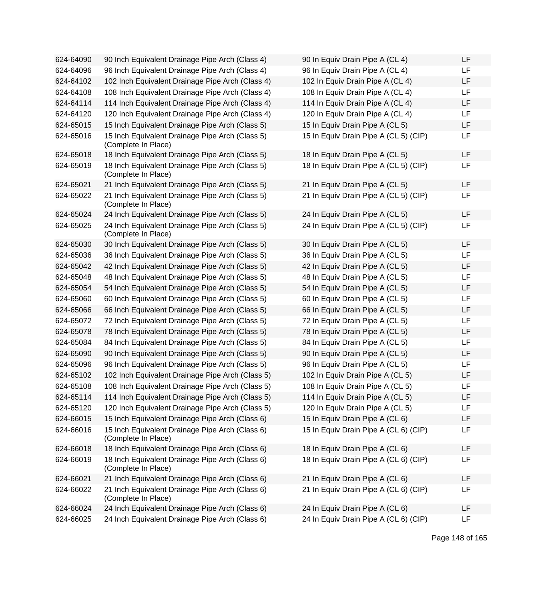| 624-64090 | 90 Inch Equivalent Drainage Pipe Arch (Class 4)                        | 90 In Equiv Drain Pipe A (CL 4)       | <b>LF</b> |
|-----------|------------------------------------------------------------------------|---------------------------------------|-----------|
| 624-64096 | 96 Inch Equivalent Drainage Pipe Arch (Class 4)                        | 96 In Equiv Drain Pipe A (CL 4)       | <b>LF</b> |
| 624-64102 | 102 Inch Equivalent Drainage Pipe Arch (Class 4)                       | 102 In Equiv Drain Pipe A (CL 4)      | LF        |
| 624-64108 | 108 Inch Equivalent Drainage Pipe Arch (Class 4)                       | 108 In Equiv Drain Pipe A (CL 4)      | LF        |
| 624-64114 | 114 Inch Equivalent Drainage Pipe Arch (Class 4)                       | 114 In Equiv Drain Pipe A (CL 4)      | LF        |
| 624-64120 | 120 Inch Equivalent Drainage Pipe Arch (Class 4)                       | 120 In Equiv Drain Pipe A (CL 4)      | LF        |
| 624-65015 | 15 Inch Equivalent Drainage Pipe Arch (Class 5)                        | 15 In Equiv Drain Pipe A (CL 5)       | LF        |
| 624-65016 | 15 Inch Equivalent Drainage Pipe Arch (Class 5)<br>(Complete In Place) | 15 In Equiv Drain Pipe A (CL 5) (CIP) | LF        |
| 624-65018 | 18 Inch Equivalent Drainage Pipe Arch (Class 5)                        | 18 In Equiv Drain Pipe A (CL 5)       | LF        |
| 624-65019 | 18 Inch Equivalent Drainage Pipe Arch (Class 5)<br>(Complete In Place) | 18 In Equiv Drain Pipe A (CL 5) (CIP) | LF        |
| 624-65021 | 21 Inch Equivalent Drainage Pipe Arch (Class 5)                        | 21 In Equiv Drain Pipe A (CL 5)       | LF        |
| 624-65022 | 21 Inch Equivalent Drainage Pipe Arch (Class 5)<br>(Complete In Place) | 21 In Equiv Drain Pipe A (CL 5) (CIP) | LF        |
| 624-65024 | 24 Inch Equivalent Drainage Pipe Arch (Class 5)                        | 24 In Equiv Drain Pipe A (CL 5)       | <b>LF</b> |
| 624-65025 | 24 Inch Equivalent Drainage Pipe Arch (Class 5)<br>(Complete In Place) | 24 In Equiv Drain Pipe A (CL 5) (CIP) | LF        |
| 624-65030 | 30 Inch Equivalent Drainage Pipe Arch (Class 5)                        | 30 In Equiv Drain Pipe A (CL 5)       | <b>LF</b> |
| 624-65036 | 36 Inch Equivalent Drainage Pipe Arch (Class 5)                        | 36 In Equiv Drain Pipe A (CL 5)       | LF        |
| 624-65042 | 42 Inch Equivalent Drainage Pipe Arch (Class 5)                        | 42 In Equiv Drain Pipe A (CL 5)       | LF        |
| 624-65048 | 48 Inch Equivalent Drainage Pipe Arch (Class 5)                        | 48 In Equiv Drain Pipe A (CL 5)       | LF        |
| 624-65054 | 54 Inch Equivalent Drainage Pipe Arch (Class 5)                        | 54 In Equiv Drain Pipe A (CL 5)       | LF        |
| 624-65060 | 60 Inch Equivalent Drainage Pipe Arch (Class 5)                        | 60 In Equiv Drain Pipe A (CL 5)       | LF        |
| 624-65066 | 66 Inch Equivalent Drainage Pipe Arch (Class 5)                        | 66 In Equiv Drain Pipe A (CL 5)       | LF        |
| 624-65072 | 72 Inch Equivalent Drainage Pipe Arch (Class 5)                        | 72 In Equiv Drain Pipe A (CL 5)       | LF        |
| 624-65078 | 78 Inch Equivalent Drainage Pipe Arch (Class 5)                        | 78 In Equiv Drain Pipe A (CL 5)       | LF        |
| 624-65084 | 84 Inch Equivalent Drainage Pipe Arch (Class 5)                        | 84 In Equiv Drain Pipe A (CL 5)       | LF        |
| 624-65090 | 90 Inch Equivalent Drainage Pipe Arch (Class 5)                        | 90 In Equiv Drain Pipe A (CL 5)       | LF        |
| 624-65096 | 96 Inch Equivalent Drainage Pipe Arch (Class 5)                        | 96 In Equiv Drain Pipe A (CL 5)       | LF        |
| 624-65102 | 102 Inch Equivalent Drainage Pipe Arch (Class 5)                       | 102 In Equiv Drain Pipe A (CL 5)      | LF        |
| 624-65108 | 108 Inch Equivalent Drainage Pipe Arch (Class 5)                       | 108 In Equiv Drain Pipe A (CL 5)      | LF        |
| 624-65114 | 114 Inch Equivalent Drainage Pipe Arch (Class 5)                       | 114 In Equiv Drain Pipe A (CL 5)      | <b>LF</b> |
| 624-65120 | 120 Inch Equivalent Drainage Pipe Arch (Class 5)                       | 120 In Equiv Drain Pipe A (CL 5)      | LF.       |
| 624-66015 | 15 Inch Equivalent Drainage Pipe Arch (Class 6)                        | 15 In Equiv Drain Pipe A (CL 6)       | <b>LF</b> |
| 624-66016 | 15 Inch Equivalent Drainage Pipe Arch (Class 6)<br>(Complete In Place) | 15 In Equiv Drain Pipe A (CL 6) (CIP) | LF        |
| 624-66018 | 18 Inch Equivalent Drainage Pipe Arch (Class 6)                        | 18 In Equiv Drain Pipe A (CL 6)       | LF        |
| 624-66019 | 18 Inch Equivalent Drainage Pipe Arch (Class 6)<br>(Complete In Place) | 18 In Equiv Drain Pipe A (CL 6) (CIP) | LF        |
| 624-66021 | 21 Inch Equivalent Drainage Pipe Arch (Class 6)                        | 21 In Equiv Drain Pipe A (CL 6)       | LF        |
| 624-66022 | 21 Inch Equivalent Drainage Pipe Arch (Class 6)<br>(Complete In Place) | 21 In Equiv Drain Pipe A (CL 6) (CIP) | LF        |
| 624-66024 | 24 Inch Equivalent Drainage Pipe Arch (Class 6)                        | 24 In Equiv Drain Pipe A (CL 6)       | LF        |
| 624-66025 | 24 Inch Equivalent Drainage Pipe Arch (Class 6)                        | 24 In Equiv Drain Pipe A (CL 6) (CIP) | <b>LF</b> |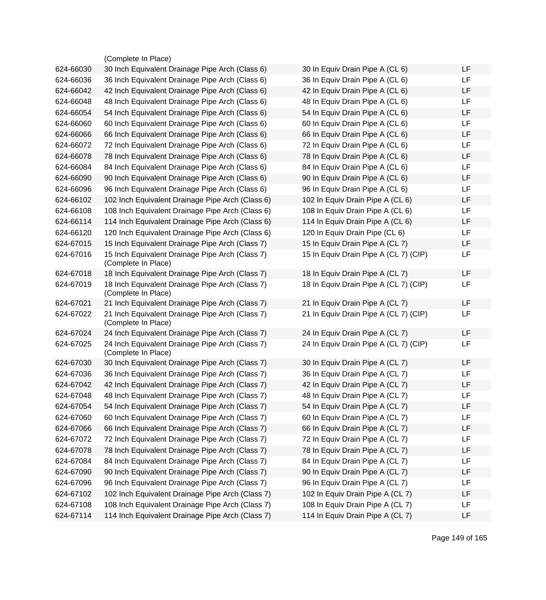|           | (Complete In Place)                                                    |                                       |    |
|-----------|------------------------------------------------------------------------|---------------------------------------|----|
| 624-66030 | 30 Inch Equivalent Drainage Pipe Arch (Class 6)                        | 30 In Equiv Drain Pipe A (CL 6)       | LF |
| 624-66036 | 36 Inch Equivalent Drainage Pipe Arch (Class 6)                        | 36 In Equiv Drain Pipe A (CL 6)       | LF |
| 624-66042 | 42 Inch Equivalent Drainage Pipe Arch (Class 6)                        | 42 In Equiv Drain Pipe A (CL 6)       | LF |
| 624-66048 | 48 Inch Equivalent Drainage Pipe Arch (Class 6)                        | 48 In Equiv Drain Pipe A (CL 6)       | LF |
| 624-66054 | 54 Inch Equivalent Drainage Pipe Arch (Class 6)                        | 54 In Equiv Drain Pipe A (CL 6)       | LF |
| 624-66060 | 60 Inch Equivalent Drainage Pipe Arch (Class 6)                        | 60 In Equiv Drain Pipe A (CL 6)       | LF |
| 624-66066 | 66 Inch Equivalent Drainage Pipe Arch (Class 6)                        | 66 In Equiv Drain Pipe A (CL 6)       | LF |
| 624-66072 | 72 Inch Equivalent Drainage Pipe Arch (Class 6)                        | 72 In Equiv Drain Pipe A (CL 6)       | LF |
| 624-66078 | 78 Inch Equivalent Drainage Pipe Arch (Class 6)                        | 78 In Equiv Drain Pipe A (CL 6)       | LF |
| 624-66084 | 84 Inch Equivalent Drainage Pipe Arch (Class 6)                        | 84 In Equiv Drain Pipe A (CL 6)       | LF |
| 624-66090 | 90 Inch Equivalent Drainage Pipe Arch (Class 6)                        | 90 In Equiv Drain Pipe A (CL 6)       | LF |
| 624-66096 | 96 Inch Equivalent Drainage Pipe Arch (Class 6)                        | 96 In Equiv Drain Pipe A (CL 6)       | LF |
| 624-66102 | 102 Inch Equivalent Drainage Pipe Arch (Class 6)                       | 102 In Equiv Drain Pipe A (CL 6)      | LF |
| 624-66108 | 108 Inch Equivalent Drainage Pipe Arch (Class 6)                       | 108 In Equiv Drain Pipe A (CL 6)      | LF |
| 624-66114 | 114 Inch Equivalent Drainage Pipe Arch (Class 6)                       | 114 In Equiv Drain Pipe A (CL 6)      | LF |
| 624-66120 | 120 Inch Equivalent Drainage Pipe Arch (Class 6)                       | 120 In Equiv Drain Pipe (CL 6)        | LF |
| 624-67015 | 15 Inch Equivalent Drainage Pipe Arch (Class 7)                        | 15 In Equiv Drain Pipe A (CL 7)       | LF |
| 624-67016 | 15 Inch Equivalent Drainage Pipe Arch (Class 7)<br>(Complete In Place) | 15 In Equiv Drain Pipe A (CL 7) (CIP) | LF |
| 624-67018 | 18 Inch Equivalent Drainage Pipe Arch (Class 7)                        | 18 In Equiv Drain Pipe A (CL 7)       | LF |
| 624-67019 | 18 Inch Equivalent Drainage Pipe Arch (Class 7)<br>(Complete In Place) | 18 In Equiv Drain Pipe A (CL 7) (CIP) | LF |
| 624-67021 | 21 Inch Equivalent Drainage Pipe Arch (Class 7)                        | 21 In Equiv Drain Pipe A (CL 7)       | LF |
| 624-67022 | 21 Inch Equivalent Drainage Pipe Arch (Class 7)<br>(Complete In Place) | 21 In Equiv Drain Pipe A (CL 7) (CIP) | LF |
| 624-67024 | 24 Inch Equivalent Drainage Pipe Arch (Class 7)                        | 24 In Equiv Drain Pipe A (CL 7)       | LF |
| 624-67025 | 24 Inch Equivalent Drainage Pipe Arch (Class 7)<br>(Complete In Place) | 24 In Equiv Drain Pipe A (CL 7) (CIP) | LF |
| 624-67030 | 30 Inch Equivalent Drainage Pipe Arch (Class 7)                        | 30 In Equiv Drain Pipe A (CL 7)       | LF |
| 624-67036 | 36 Inch Equivalent Drainage Pipe Arch (Class 7)                        | 36 In Equiv Drain Pipe A (CL 7)       | LF |
| 624-67042 | 42 Inch Equivalent Drainage Pipe Arch (Class 7)                        | 42 In Equiv Drain Pipe A (CL 7)       | LF |
| 624-67048 | 48 Inch Equivalent Drainage Pipe Arch (Class 7)                        | 48 In Equiv Drain Pipe A (CL 7)       | LF |
| 624-67054 | 54 Inch Equivalent Drainage Pipe Arch (Class 7)                        | 54 In Equiv Drain Pipe A (CL 7)       | LF |
| 624-67060 | 60 Inch Equivalent Drainage Pipe Arch (Class 7)                        | 60 In Equiv Drain Pipe A (CL 7)       | LF |
| 624-67066 | 66 Inch Equivalent Drainage Pipe Arch (Class 7)                        | 66 In Equiv Drain Pipe A (CL 7)       | LF |
| 624-67072 | 72 Inch Equivalent Drainage Pipe Arch (Class 7)                        | 72 In Equiv Drain Pipe A (CL 7)       | LF |
| 624-67078 | 78 Inch Equivalent Drainage Pipe Arch (Class 7)                        | 78 In Equiv Drain Pipe A (CL 7)       | LF |
| 624-67084 | 84 Inch Equivalent Drainage Pipe Arch (Class 7)                        | 84 In Equiv Drain Pipe A (CL 7)       | LF |
| 624-67090 | 90 Inch Equivalent Drainage Pipe Arch (Class 7)                        | 90 In Equiv Drain Pipe A (CL 7)       | LF |
| 624-67096 | 96 Inch Equivalent Drainage Pipe Arch (Class 7)                        | 96 In Equiv Drain Pipe A (CL 7)       | LF |
| 624-67102 | 102 Inch Equivalent Drainage Pipe Arch (Class 7)                       | 102 In Equiv Drain Pipe A (CL 7)      | LF |
| 624-67108 | 108 Inch Equivalent Drainage Pipe Arch (Class 7)                       | 108 In Equiv Drain Pipe A (CL 7)      | LF |
| 624-67114 | 114 Inch Equivalent Drainage Pipe Arch (Class 7)                       | 114 In Equiv Drain Pipe A (CL 7)      | LF |
|           |                                                                        |                                       |    |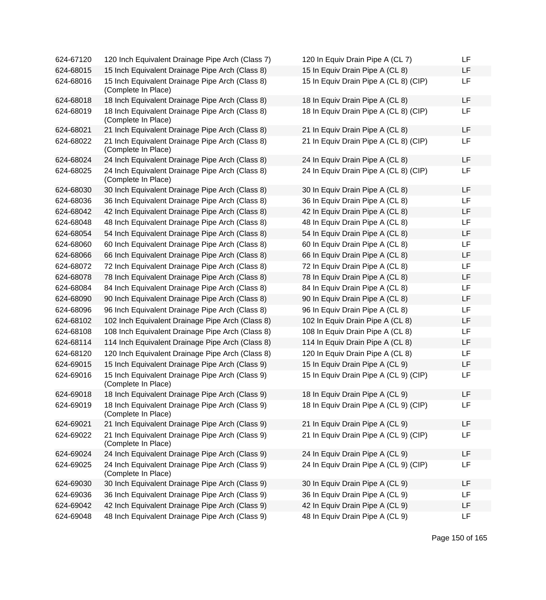| 624-67120 | 120 Inch Equivalent Drainage Pipe Arch (Class 7)                       | 120 In Equiv Drain Pipe A (CL 7)      | LF        |
|-----------|------------------------------------------------------------------------|---------------------------------------|-----------|
| 624-68015 | 15 Inch Equivalent Drainage Pipe Arch (Class 8)                        | 15 In Equiv Drain Pipe A (CL 8)       | LF        |
| 624-68016 | 15 Inch Equivalent Drainage Pipe Arch (Class 8)<br>(Complete In Place) | 15 In Equiv Drain Pipe A (CL 8) (CIP) | LF        |
| 624-68018 | 18 Inch Equivalent Drainage Pipe Arch (Class 8)                        | 18 In Equiv Drain Pipe A (CL 8)       | LF        |
| 624-68019 | 18 Inch Equivalent Drainage Pipe Arch (Class 8)<br>(Complete In Place) | 18 In Equiv Drain Pipe A (CL 8) (CIP) | <b>LF</b> |
| 624-68021 | 21 Inch Equivalent Drainage Pipe Arch (Class 8)                        | 21 In Equiv Drain Pipe A (CL 8)       | LF        |
| 624-68022 | 21 Inch Equivalent Drainage Pipe Arch (Class 8)<br>(Complete In Place) | 21 In Equiv Drain Pipe A (CL 8) (CIP) | LF        |
| 624-68024 | 24 Inch Equivalent Drainage Pipe Arch (Class 8)                        | 24 In Equiv Drain Pipe A (CL 8)       | <b>LF</b> |
| 624-68025 | 24 Inch Equivalent Drainage Pipe Arch (Class 8)<br>(Complete In Place) | 24 In Equiv Drain Pipe A (CL 8) (CIP) | LF        |
| 624-68030 | 30 Inch Equivalent Drainage Pipe Arch (Class 8)                        | 30 In Equiv Drain Pipe A (CL 8)       | LF        |
| 624-68036 | 36 Inch Equivalent Drainage Pipe Arch (Class 8)                        | 36 In Equiv Drain Pipe A (CL 8)       | <b>LF</b> |
| 624-68042 | 42 Inch Equivalent Drainage Pipe Arch (Class 8)                        | 42 In Equiv Drain Pipe A (CL 8)       | LF        |
| 624-68048 | 48 Inch Equivalent Drainage Pipe Arch (Class 8)                        | 48 In Equiv Drain Pipe A (CL 8)       | LF        |
| 624-68054 | 54 Inch Equivalent Drainage Pipe Arch (Class 8)                        | 54 In Equiv Drain Pipe A (CL 8)       | LF        |
| 624-68060 | 60 Inch Equivalent Drainage Pipe Arch (Class 8)                        | 60 In Equiv Drain Pipe A (CL 8)       | LF        |
| 624-68066 | 66 Inch Equivalent Drainage Pipe Arch (Class 8)                        | 66 In Equiv Drain Pipe A (CL 8)       | <b>LF</b> |
| 624-68072 | 72 Inch Equivalent Drainage Pipe Arch (Class 8)                        | 72 In Equiv Drain Pipe A (CL 8)       | <b>LF</b> |
| 624-68078 | 78 Inch Equivalent Drainage Pipe Arch (Class 8)                        | 78 In Equiv Drain Pipe A (CL 8)       | <b>LF</b> |
| 624-68084 | 84 Inch Equivalent Drainage Pipe Arch (Class 8)                        | 84 In Equiv Drain Pipe A (CL 8)       | <b>LF</b> |
| 624-68090 | 90 Inch Equivalent Drainage Pipe Arch (Class 8)                        | 90 In Equiv Drain Pipe A (CL 8)       | LF        |
| 624-68096 | 96 Inch Equivalent Drainage Pipe Arch (Class 8)                        | 96 In Equiv Drain Pipe A (CL 8)       | LF        |
| 624-68102 | 102 Inch Equivalent Drainage Pipe Arch (Class 8)                       | 102 In Equiv Drain Pipe A (CL 8)      | LF.       |
| 624-68108 | 108 Inch Equivalent Drainage Pipe Arch (Class 8)                       | 108 In Equiv Drain Pipe A (CL 8)      | LF        |
| 624-68114 | 114 Inch Equivalent Drainage Pipe Arch (Class 8)                       | 114 In Equiv Drain Pipe A (CL 8)      | LF        |
| 624-68120 | 120 Inch Equivalent Drainage Pipe Arch (Class 8)                       | 120 In Equiv Drain Pipe A (CL 8)      | <b>LF</b> |
| 624-69015 | 15 Inch Equivalent Drainage Pipe Arch (Class 9)                        | 15 In Equiv Drain Pipe A (CL 9)       | <b>LF</b> |
| 624-69016 | 15 Inch Equivalent Drainage Pipe Arch (Class 9)<br>(Complete In Place) | 15 In Equiv Drain Pipe A (CL 9) (CIP) | LF        |
| 624-69018 | 18 Inch Equivalent Drainage Pipe Arch (Class 9)                        | 18 In Equiv Drain Pipe A (CL 9)       | LF        |
| 624-69019 | 18 Inch Equivalent Drainage Pipe Arch (Class 9)<br>(Complete In Place) | 18 In Equiv Drain Pipe A (CL 9) (CIP) | LF        |
| 624-69021 | 21 Inch Equivalent Drainage Pipe Arch (Class 9)                        | 21 In Equiv Drain Pipe A (CL 9)       | <b>LF</b> |
| 624-69022 | 21 Inch Equivalent Drainage Pipe Arch (Class 9)<br>(Complete In Place) | 21 In Equiv Drain Pipe A (CL 9) (CIP) | LF        |
| 624-69024 | 24 Inch Equivalent Drainage Pipe Arch (Class 9)                        | 24 In Equiv Drain Pipe A (CL 9)       | LF        |
| 624-69025 | 24 Inch Equivalent Drainage Pipe Arch (Class 9)<br>(Complete In Place) | 24 In Equiv Drain Pipe A (CL 9) (CIP) | <b>LF</b> |
| 624-69030 | 30 Inch Equivalent Drainage Pipe Arch (Class 9)                        | 30 In Equiv Drain Pipe A (CL 9)       | LF        |
| 624-69036 | 36 Inch Equivalent Drainage Pipe Arch (Class 9)                        | 36 In Equiv Drain Pipe A (CL 9)       | LF        |
| 624-69042 | 42 Inch Equivalent Drainage Pipe Arch (Class 9)                        | 42 In Equiv Drain Pipe A (CL 9)       | <b>LF</b> |
| 624-69048 | 48 Inch Equivalent Drainage Pipe Arch (Class 9)                        | 48 In Equiv Drain Pipe A (CL 9)       | LF        |

| 120 In Equiv Drain Pipe A (CL 7)      | LF |
|---------------------------------------|----|
| 15 In Equiv Drain Pipe A (CL 8)       | LF |
| 15 In Equiv Drain Pipe A (CL 8) (CIP) | LF |
| 18 In Equiv Drain Pipe A (CL 8)       | LF |
| 18 In Equiv Drain Pipe A (CL 8) (CIP) | LF |
| 21 In Equiv Drain Pipe A (CL 8)       | LF |
| 21 In Equiv Drain Pipe A (CL 8) (CIP) | LF |
| 24 In Equiv Drain Pipe A (CL 8)       | LF |
| 24 In Equiv Drain Pipe A (CL 8) (CIP) | LF |
| 30 In Equiv Drain Pipe A (CL 8)       | LF |
| 36 In Equiv Drain Pipe A (CL 8)       | LF |
| 42 In Equiv Drain Pipe A (CL 8)       | LF |
| 48 In Equiv Drain Pipe A (CL 8)       | LF |
| 54 In Equiv Drain Pipe A (CL 8)       | LF |
| 60 In Equiv Drain Pipe A (CL 8)       | LF |
| 66 In Equiv Drain Pipe A (CL 8)       | LF |
| 72 In Equiv Drain Pipe A (CL 8)       | LF |
| 78 In Equiv Drain Pipe A (CL 8)       | LF |
| 84 In Equiv Drain Pipe A (CL 8)       | LF |
| 90 In Equiv Drain Pipe A (CL 8)       | LF |
| 96 In Equiv Drain Pipe A (CL 8)       | LF |
| 102 In Equiv Drain Pipe A (CL 8)      | LF |
| 108 In Equiv Drain Pipe A (CL 8)      | LF |
| 114 In Equiv Drain Pipe A (CL 8)      | LF |
| 120 In Equiv Drain Pipe A (CL 8)      | LF |
| 15 In Equiv Drain Pipe A (CL 9)       | LF |
| 15 In Equiv Drain Pipe A (CL 9) (CIP) | LF |
| 18 In Equiv Drain Pipe A (CL 9)       | LF |
| 18 In Equiv Drain Pipe A (CL 9) (CIP) | LF |
| 21 In Equiv Drain Pipe A (CL 9)       | LF |
| 21 In Equiv Drain Pipe A (CL 9) (CIP) | LF |
| 24 In Equiv Drain Pipe A (CL 9)       | LF |
| 24 In Equiv Drain Pipe A (CL 9) (CIP) | LF |
| 30 In Equiv Drain Pipe A (CL 9)       | LF |
| 36 In Equiv Drain Pipe A (CL 9)       | LF |
| 42 In Equiv Drain Pipe A (CL 9)       | LF |
| 48 In Equiv Drain Pipe A (CL 9)       | LF |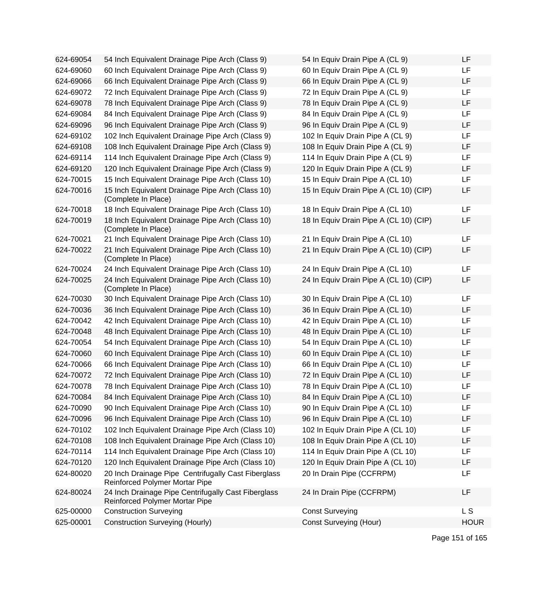| 624-69054 | 54 Inch Equivalent Drainage Pipe Arch (Class 9)                                              | 54 In Equiv Drain Pipe A (CL 9)        | LF          |
|-----------|----------------------------------------------------------------------------------------------|----------------------------------------|-------------|
| 624-69060 | 60 Inch Equivalent Drainage Pipe Arch (Class 9)                                              | 60 In Equiv Drain Pipe A (CL 9)        | LF          |
| 624-69066 | 66 Inch Equivalent Drainage Pipe Arch (Class 9)                                              | 66 In Equiv Drain Pipe A (CL 9)        | LF          |
| 624-69072 | 72 Inch Equivalent Drainage Pipe Arch (Class 9)                                              | 72 In Equiv Drain Pipe A (CL 9)        | LF          |
| 624-69078 | 78 Inch Equivalent Drainage Pipe Arch (Class 9)                                              | 78 In Equiv Drain Pipe A (CL 9)        | LF          |
| 624-69084 | 84 Inch Equivalent Drainage Pipe Arch (Class 9)                                              | 84 In Equiv Drain Pipe A (CL 9)        | LF          |
| 624-69096 | 96 Inch Equivalent Drainage Pipe Arch (Class 9)                                              | 96 In Equiv Drain Pipe A (CL 9)        | LF          |
| 624-69102 | 102 Inch Equivalent Drainage Pipe Arch (Class 9)                                             | 102 In Equiv Drain Pipe A (CL 9)       | LF          |
| 624-69108 | 108 Inch Equivalent Drainage Pipe Arch (Class 9)                                             | 108 In Equiv Drain Pipe A (CL 9)       | LF          |
| 624-69114 | 114 Inch Equivalent Drainage Pipe Arch (Class 9)                                             | 114 In Equiv Drain Pipe A (CL 9)       | LF          |
| 624-69120 | 120 Inch Equivalent Drainage Pipe Arch (Class 9)                                             | 120 In Equiv Drain Pipe A (CL 9)       | LF          |
| 624-70015 | 15 Inch Equivalent Drainage Pipe Arch (Class 10)                                             | 15 In Equiv Drain Pipe A (CL 10)       | LF          |
| 624-70016 | 15 Inch Equivalent Drainage Pipe Arch (Class 10)<br>(Complete In Place)                      | 15 In Equiv Drain Pipe A (CL 10) (CIP) | LF          |
| 624-70018 | 18 Inch Equivalent Drainage Pipe Arch (Class 10)                                             | 18 In Equiv Drain Pipe A (CL 10)       | LF          |
| 624-70019 | 18 Inch Equivalent Drainage Pipe Arch (Class 10)<br>(Complete In Place)                      | 18 In Equiv Drain Pipe A (CL 10) (CIP) | LF          |
| 624-70021 | 21 Inch Equivalent Drainage Pipe Arch (Class 10)                                             | 21 In Equiv Drain Pipe A (CL 10)       | LF          |
| 624-70022 | 21 Inch Equivalent Drainage Pipe Arch (Class 10)<br>(Complete In Place)                      | 21 In Equiv Drain Pipe A (CL 10) (CIP) | LF          |
| 624-70024 | 24 Inch Equivalent Drainage Pipe Arch (Class 10)                                             | 24 In Equiv Drain Pipe A (CL 10)       | LF          |
| 624-70025 | 24 Inch Equivalent Drainage Pipe Arch (Class 10)<br>(Complete In Place)                      | 24 In Equiv Drain Pipe A (CL 10) (CIP) | LF          |
| 624-70030 | 30 Inch Equivalent Drainage Pipe Arch (Class 10)                                             | 30 In Equiv Drain Pipe A (CL 10)       | LF          |
| 624-70036 | 36 Inch Equivalent Drainage Pipe Arch (Class 10)                                             | 36 In Equiv Drain Pipe A (CL 10)       | LF          |
| 624-70042 | 42 Inch Equivalent Drainage Pipe Arch (Class 10)                                             | 42 In Equiv Drain Pipe A (CL 10)       | LF          |
| 624-70048 | 48 Inch Equivalent Drainage Pipe Arch (Class 10)                                             | 48 In Equiv Drain Pipe A (CL 10)       | LF          |
| 624-70054 | 54 Inch Equivalent Drainage Pipe Arch (Class 10)                                             | 54 In Equiv Drain Pipe A (CL 10)       | LF          |
| 624-70060 | 60 Inch Equivalent Drainage Pipe Arch (Class 10)                                             | 60 In Equiv Drain Pipe A (CL 10)       | LF          |
| 624-70066 | 66 Inch Equivalent Drainage Pipe Arch (Class 10)                                             | 66 In Equiv Drain Pipe A (CL 10)       | LF          |
| 624-70072 | 72 Inch Equivalent Drainage Pipe Arch (Class 10)                                             | 72 In Equiv Drain Pipe A (CL 10)       | LF          |
| 624-70078 | 78 Inch Equivalent Drainage Pipe Arch (Class 10)                                             | 78 In Equiv Drain Pipe A (CL 10)       | LF          |
| 624-70084 | 84 Inch Equivalent Drainage Pipe Arch (Class 10)                                             | 84 In Equiv Drain Pipe A (CL 10)       | LF          |
| 624-70090 | 90 Inch Equivalent Drainage Pipe Arch (Class 10)                                             | 90 In Equiv Drain Pipe A (CL 10)       | LF          |
| 624-70096 | 96 Inch Equivalent Drainage Pipe Arch (Class 10)                                             | 96 In Equiv Drain Pipe A (CL 10)       | LF          |
| 624-70102 | 102 Inch Equivalent Drainage Pipe Arch (Class 10)                                            | 102 In Equiv Drain Pipe A (CL 10)      | LF          |
| 624-70108 | 108 Inch Equivalent Drainage Pipe Arch (Class 10)                                            | 108 In Equiv Drain Pipe A (CL 10)      | LF          |
| 624-70114 | 114 Inch Equivalent Drainage Pipe Arch (Class 10)                                            | 114 In Equiv Drain Pipe A (CL 10)      | LF          |
| 624-70120 | 120 Inch Equivalent Drainage Pipe Arch (Class 10)                                            | 120 In Equiv Drain Pipe A (CL 10)      | LF          |
| 624-80020 | 20 Inch Drainage Pipe Centrifugally Cast Fiberglass<br><b>Reinforced Polymer Mortar Pipe</b> | 20 In Drain Pipe (CCFRPM)              | LF          |
| 624-80024 | 24 Inch Drainage Pipe Centrifugally Cast Fiberglass<br>Reinforced Polymer Mortar Pipe        | 24 In Drain Pipe (CCFRPM)              | LF          |
| 625-00000 | <b>Construction Surveying</b>                                                                | <b>Const Surveying</b>                 | <b>LS</b>   |
| 625-00001 | <b>Construction Surveying (Hourly)</b>                                                       | <b>Const Surveying (Hour)</b>          | <b>HOUR</b> |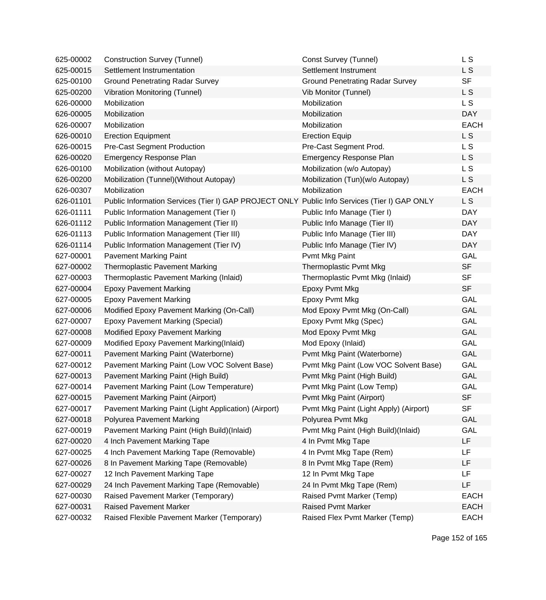| 625-00002 | <b>Construction Survey (Tunnel)</b>                                                          | Const Survey (Tunnel)                  | L S            |
|-----------|----------------------------------------------------------------------------------------------|----------------------------------------|----------------|
| 625-00015 | Settlement Instrumentation                                                                   | Settlement Instrument                  | L S            |
| 625-00100 | <b>Ground Penetrating Radar Survey</b>                                                       | <b>Ground Penetrating Radar Survey</b> | <b>SF</b>      |
| 625-00200 | Vibration Monitoring (Tunnel)                                                                | Vib Monitor (Tunnel)                   | L S            |
| 626-00000 | Mobilization                                                                                 | Mobilization                           | L S            |
| 626-00005 | Mobilization                                                                                 | Mobilization                           | <b>DAY</b>     |
| 626-00007 | Mobilization                                                                                 | Mobilization                           | <b>EACH</b>    |
| 626-00010 | <b>Erection Equipment</b>                                                                    | <b>Erection Equip</b>                  | L <sub>S</sub> |
| 626-00015 | <b>Pre-Cast Segment Production</b>                                                           | Pre-Cast Segment Prod.                 | L S            |
| 626-00020 | Emergency Response Plan                                                                      | Emergency Response Plan                | L S            |
| 626-00100 | Mobilization (without Autopay)                                                               | Mobilization (w/o Autopay)             | L S            |
| 626-00200 | Mobilization (Tunnel) (Without Autopay)                                                      | Mobilization (Tun)(w/o Autopay)        | L S            |
| 626-00307 | Mobilization                                                                                 | Mobilization                           | <b>EACH</b>    |
| 626-01101 | Public Information Services (Tier I) GAP PROJECT ONLY Public Info Services (Tier I) GAP ONLY |                                        | L S            |
| 626-01111 | Public Information Management (Tier I)                                                       | Public Info Manage (Tier I)            | <b>DAY</b>     |
| 626-01112 | Public Information Management (Tier II)                                                      | Public Info Manage (Tier II)           | <b>DAY</b>     |
| 626-01113 | Public Information Management (Tier III)                                                     | Public Info Manage (Tier III)          | <b>DAY</b>     |
| 626-01114 | Public Information Management (Tier IV)                                                      | Public Info Manage (Tier IV)           | <b>DAY</b>     |
| 627-00001 | <b>Pavement Marking Paint</b>                                                                | Pvmt Mkg Paint                         | <b>GAL</b>     |
| 627-00002 | <b>Thermoplastic Pavement Marking</b>                                                        | Thermoplastic Pvmt Mkg                 | <b>SF</b>      |
| 627-00003 | Thermoplastic Pavement Marking (Inlaid)                                                      | Thermoplastic Pvmt Mkg (Inlaid)        | <b>SF</b>      |
| 627-00004 | <b>Epoxy Pavement Marking</b>                                                                | Epoxy Pvmt Mkg                         | <b>SF</b>      |
| 627-00005 | <b>Epoxy Pavement Marking</b>                                                                | Epoxy Pvmt Mkg                         | GAL            |
| 627-00006 | Modified Epoxy Pavement Marking (On-Call)                                                    | Mod Epoxy Pvmt Mkg (On-Call)           | GAL            |
| 627-00007 | <b>Epoxy Pavement Marking (Special)</b>                                                      | Epoxy Pvmt Mkg (Spec)                  | <b>GAL</b>     |
| 627-00008 | Modified Epoxy Pavement Marking                                                              | Mod Epoxy Pvmt Mkg                     | GAL            |
| 627-00009 | Modified Epoxy Pavement Marking(Inlaid)                                                      | Mod Epoxy (Inlaid)                     | GAL            |
| 627-00011 | Pavement Marking Paint (Waterborne)                                                          | Pvmt Mkg Paint (Waterborne)            | <b>GAL</b>     |
| 627-00012 | Pavement Marking Paint (Low VOC Solvent Base)                                                | Pvmt Mkg Paint (Low VOC Solvent Base)  | GAL            |
| 627-00013 | Pavement Marking Paint (High Build)                                                          | Pvmt Mkg Paint (High Build)            | <b>GAL</b>     |
| 627-00014 | Pavement Marking Paint (Low Temperature)                                                     | Pvmt Mkg Paint (Low Temp)              | GAL            |
| 627-00015 | <b>Pavement Marking Paint (Airport)</b>                                                      | Pvmt Mkg Paint (Airport)               | <b>SF</b>      |
| 627-00017 | Pavement Marking Paint (Light Application) (Airport)                                         | Pvmt Mkg Paint (Light Apply) (Airport) | <b>SF</b>      |
| 627-00018 | Polyurea Pavement Marking                                                                    | Polyurea Pvmt Mkg                      | <b>GAL</b>     |
| 627-00019 | Pavement Marking Paint (High Build)(Inlaid)                                                  | Pvmt Mkg Paint (High Build)(Inlaid)    | GAL            |
| 627-00020 | 4 Inch Pavement Marking Tape                                                                 | 4 In Pvmt Mkg Tape                     | LF             |
| 627-00025 | 4 Inch Pavement Marking Tape (Removable)                                                     | 4 In Pvmt Mkg Tape (Rem)               | LF             |
| 627-00026 | 8 In Pavement Marking Tape (Removable)                                                       | 8 In Pvmt Mkg Tape (Rem)               | LF             |
| 627-00027 | 12 Inch Pavement Marking Tape                                                                | 12 In Pvmt Mkg Tape                    | LF             |
| 627-00029 | 24 Inch Pavement Marking Tape (Removable)                                                    | 24 In Pvmt Mkg Tape (Rem)              | LF             |
| 627-00030 | Raised Pavement Marker (Temporary)                                                           | Raised Pvmt Marker (Temp)              | <b>EACH</b>    |
| 627-00031 | <b>Raised Pavement Marker</b>                                                                | <b>Raised Pvmt Marker</b>              | <b>EACH</b>    |
| 627-00032 | Raised Flexible Pavement Marker (Temporary)                                                  | Raised Flex Pvmt Marker (Temp)         | <b>EACH</b>    |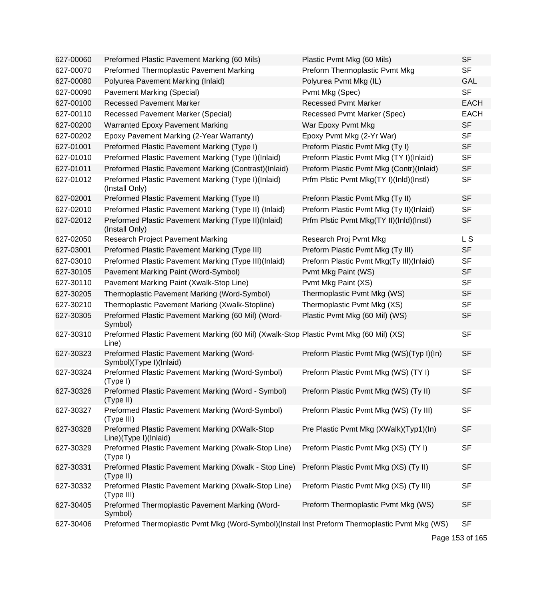| 627-00060 | Preformed Plastic Pavement Marking (60 Mils)                                                    | Plastic Pvmt Mkg (60 Mils)               | <b>SF</b>   |
|-----------|-------------------------------------------------------------------------------------------------|------------------------------------------|-------------|
| 627-00070 | Preformed Thermoplastic Pavement Marking                                                        | Preform Thermoplastic Pvmt Mkg           | <b>SF</b>   |
| 627-00080 | Polyurea Pavement Marking (Inlaid)                                                              | Polyurea Pvmt Mkg (IL)                   | <b>GAL</b>  |
| 627-00090 | Pavement Marking (Special)                                                                      | Pvmt Mkg (Spec)                          | <b>SF</b>   |
| 627-00100 | <b>Recessed Pavement Marker</b>                                                                 | <b>Recessed Pvmt Marker</b>              | <b>EACH</b> |
| 627-00110 | Recessed Pavement Marker (Special)                                                              | Recessed Pvmt Marker (Spec)              | <b>EACH</b> |
| 627-00200 | Warranted Epoxy Pavement Marking                                                                | War Epoxy Pvmt Mkg                       | <b>SF</b>   |
| 627-00202 | Epoxy Pavement Marking (2-Year Warranty)                                                        | Epoxy Pvmt Mkg (2-Yr War)                | <b>SF</b>   |
| 627-01001 | Preformed Plastic Pavement Marking (Type I)                                                     | Preform Plastic Pvmt Mkg (Ty I)          | <b>SF</b>   |
| 627-01010 | Preformed Plastic Pavement Marking (Type I)(Inlaid)                                             | Preform Plastic Pvmt Mkg (TY I)(Inlaid)  | <b>SF</b>   |
| 627-01011 | Preformed Plastic Pavement Marking (Contrast)(Inlaid)                                           | Preform Plastic Pvmt Mkg (Contr)(Inlaid) | <b>SF</b>   |
| 627-01012 | Preformed Plastic Pavement Marking (Type I)(Inlaid)<br>(Install Only)                           | Prfm Plstic Pvmt Mkg(TY I)(InId)(Instl)  | <b>SF</b>   |
| 627-02001 | Preformed Plastic Pavement Marking (Type II)                                                    | Preform Plastic Pvmt Mkg (Ty II)         | <b>SF</b>   |
| 627-02010 | Preformed Plastic Pavement Marking (Type II) (Inlaid)                                           | Preform Plastic Pvmt Mkg (Ty II)(Inlaid) | <b>SF</b>   |
| 627-02012 | Preformed Plastic Pavement Marking (Type II)(Inlaid)<br>(Install Only)                          | Prfm Plstic Pvmt Mkg(TY II)(Inld)(Instl) | <b>SF</b>   |
| 627-02050 | Research Project Pavement Marking                                                               | Research Proj Pvmt Mkg                   | L S         |
| 627-03001 | Preformed Plastic Pavement Marking (Type III)                                                   | Preform Plastic Pvmt Mkg (Ty III)        | <b>SF</b>   |
| 627-03010 | Preformed Plastic Pavement Marking (Type III)(Inlaid)                                           | Preform Plastic Pvmt Mkg(Ty III)(Inlaid) | <b>SF</b>   |
| 627-30105 | Pavement Marking Paint (Word-Symbol)                                                            | Pvmt Mkg Paint (WS)                      | <b>SF</b>   |
| 627-30110 | Pavement Marking Paint (Xwalk-Stop Line)                                                        | Pvmt Mkg Paint (XS)                      | <b>SF</b>   |
| 627-30205 | Thermoplastic Pavement Marking (Word-Symbol)                                                    | Thermoplastic Pvmt Mkg (WS)              | <b>SF</b>   |
| 627-30210 | Thermoplastic Pavement Marking (Xwalk-Stopline)                                                 | Thermoplastic Pvmt Mkg (XS)              | <b>SF</b>   |
| 627-30305 | Preformed Plastic Pavement Marking (60 Mil) (Word-<br>Symbol)                                   | Plastic Pvmt Mkg (60 Mil) (WS)           | <b>SF</b>   |
| 627-30310 | Preformed Plastic Pavement Marking (60 Mil) (Xwalk-Stop Plastic Pvmt Mkg (60 Mil) (XS)<br>Line) |                                          | <b>SF</b>   |
| 627-30323 | Preformed Plastic Pavement Marking (Word-<br>Symbol)(Type I)(Inlaid)                            | Preform Plastic Pvmt Mkg (WS)(Typ I)(In) | <b>SF</b>   |
| 627-30324 | Preformed Plastic Pavement Marking (Word-Symbol)<br>(Type I)                                    | Preform Plastic Pvmt Mkg (WS) (TY I)     | <b>SF</b>   |
| 627-30326 | Preformed Plastic Pavement Marking (Word - Symbol)<br>(Type II)                                 | Preform Plastic Pvmt Mkg (WS) (Ty II)    | <b>SF</b>   |
| 627-30327 | Preformed Plastic Pavement Marking (Word-Symbol)<br>(Type III)                                  | Preform Plastic Pvmt Mkg (WS) (Ty III)   | <b>SF</b>   |
| 627-30328 | Preformed Plastic Pavement Marking (XWalk-Stop<br>Line)(Type I)(Inlaid)                         | Pre Plastic Pvmt Mkg (XWalk)(Typ1)(In)   | <b>SF</b>   |
| 627-30329 | Preformed Plastic Pavement Marking (Xwalk-Stop Line)<br>(Type I)                                | Preform Plastic Pvmt Mkg (XS) (TY I)     | <b>SF</b>   |
| 627-30331 | Preformed Plastic Pavement Marking (Xwalk - Stop Line)<br>(Type II)                             | Preform Plastic Pvmt Mkg (XS) (Ty II)    | <b>SF</b>   |
| 627-30332 | Preformed Plastic Pavement Marking (Xwalk-Stop Line)<br>(Type III)                              | Preform Plastic Pvmt Mkg (XS) (Ty III)   | <b>SF</b>   |
| 627-30405 | Preformed Thermoplastic Pavement Marking (Word-<br>Symbol)                                      | Preform Thermoplastic Pvmt Mkg (WS)      | <b>SF</b>   |
| 627-30406 | Preformed Thermoplastic Pvmt Mkg (Word-Symbol)(Install Inst Preform Thermoplastic Pvmt Mkg (WS) |                                          | <b>SF</b>   |

Page 153 of 165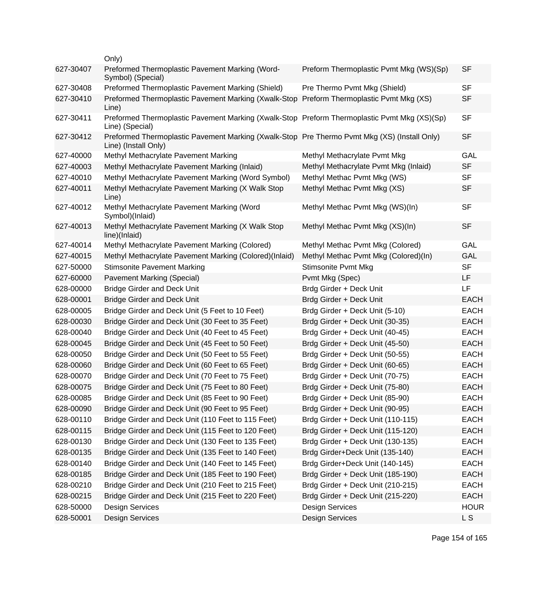|           | Only)                                                                                                                |                                         |             |
|-----------|----------------------------------------------------------------------------------------------------------------------|-----------------------------------------|-------------|
| 627-30407 | Preformed Thermoplastic Pavement Marking (Word-<br>Symbol) (Special)                                                 | Preform Thermoplastic Pvmt Mkg (WS)(Sp) | <b>SF</b>   |
| 627-30408 | Preformed Thermoplastic Pavement Marking (Shield)                                                                    | Pre Thermo Pvmt Mkg (Shield)            | <b>SF</b>   |
| 627-30410 | Preformed Thermoplastic Pavement Marking (Xwalk-Stop<br>Line)                                                        | Preform Thermoplastic Pvmt Mkg (XS)     | <b>SF</b>   |
| 627-30411 | Preformed Thermoplastic Pavement Marking (Xwalk-Stop Preform Thermoplastic Pvmt Mkg (XS)(Sp)<br>Line) (Special)      |                                         | <b>SF</b>   |
| 627-30412 | Preformed Thermoplastic Pavement Marking (Xwalk-Stop Pre Thermo Pvmt Mkg (XS) (Install Only)<br>Line) (Install Only) |                                         | <b>SF</b>   |
| 627-40000 | Methyl Methacrylate Pavement Marking                                                                                 | Methyl Methacrylate Pvmt Mkg            | GAL         |
| 627-40003 | Methyl Methacrylate Pavement Marking (Inlaid)                                                                        | Methyl Methacrylate Pvmt Mkg (Inlaid)   | <b>SF</b>   |
| 627-40010 | Methyl Methacrylate Pavement Marking (Word Symbol)                                                                   | Methyl Methac Pvmt Mkg (WS)             | <b>SF</b>   |
| 627-40011 | Methyl Methacrylate Pavement Marking (X Walk Stop<br>Line)                                                           | Methyl Methac Pvmt Mkg (XS)             | <b>SF</b>   |
| 627-40012 | Methyl Methacrylate Pavement Marking (Word<br>Symbol)(Inlaid)                                                        | Methyl Methac Pvmt Mkg (WS)(In)         | <b>SF</b>   |
| 627-40013 | Methyl Methacrylate Pavement Marking (X Walk Stop<br>line)(Inlaid)                                                   | Methyl Methac Pvmt Mkg (XS)(In)         | <b>SF</b>   |
| 627-40014 | Methyl Methacrylate Pavement Marking (Colored)                                                                       | Methyl Methac Pvmt Mkg (Colored)        | <b>GAL</b>  |
| 627-40015 | Methyl Methacrylate Pavement Marking (Colored)(Inlaid)                                                               | Methyl Methac Pvmt Mkg (Colored)(In)    | <b>GAL</b>  |
| 627-50000 | <b>Stimsonite Pavement Marking</b>                                                                                   | <b>Stimsonite Pvmt Mkg</b>              | <b>SF</b>   |
| 627-60000 | <b>Pavement Marking (Special)</b>                                                                                    | Pvmt Mkg (Spec)                         | <b>LF</b>   |
| 628-00000 | <b>Bridge Girder and Deck Unit</b>                                                                                   | Brdg Girder + Deck Unit                 | <b>LF</b>   |
| 628-00001 | <b>Bridge Girder and Deck Unit</b>                                                                                   | Brdg Girder + Deck Unit                 | <b>EACH</b> |
| 628-00005 | Bridge Girder and Deck Unit (5 Feet to 10 Feet)                                                                      | Brdg Girder + Deck Unit (5-10)          | <b>EACH</b> |
| 628-00030 | Bridge Girder and Deck Unit (30 Feet to 35 Feet)                                                                     | Brdg Girder + Deck Unit (30-35)         | <b>EACH</b> |
| 628-00040 | Bridge Girder and Deck Unit (40 Feet to 45 Feet)                                                                     | Brdg Girder + Deck Unit (40-45)         | <b>EACH</b> |
| 628-00045 | Bridge Girder and Deck Unit (45 Feet to 50 Feet)                                                                     | Brdg Girder + Deck Unit (45-50)         | <b>EACH</b> |
| 628-00050 | Bridge Girder and Deck Unit (50 Feet to 55 Feet)                                                                     | Brdg Girder + Deck Unit (50-55)         | <b>EACH</b> |
| 628-00060 | Bridge Girder and Deck Unit (60 Feet to 65 Feet)                                                                     | Brdg Girder + Deck Unit (60-65)         | <b>EACH</b> |
| 628-00070 | Bridge Girder and Deck Unit (70 Feet to 75 Feet)                                                                     | Brdg Girder + Deck Unit (70-75)         | <b>EACH</b> |
| 628-00075 | Bridge Girder and Deck Unit (75 Feet to 80 Feet)                                                                     | Brdg Girder + Deck Unit (75-80)         | <b>EACH</b> |
| 628-00085 | Bridge Girder and Deck Unit (85 Feet to 90 Feet)                                                                     | Brdg Girder + Deck Unit (85-90)         | <b>EACH</b> |
| 628-00090 | Bridge Girder and Deck Unit (90 Feet to 95 Feet)                                                                     | Brdg Girder + Deck Unit (90-95)         | <b>EACH</b> |
| 628-00110 | Bridge Girder and Deck Unit (110 Feet to 115 Feet)                                                                   | Brdg Girder + Deck Unit (110-115)       | <b>EACH</b> |
| 628-00115 | Bridge Girder and Deck Unit (115 Feet to 120 Feet)                                                                   | Brdg Girder + Deck Unit (115-120)       | <b>EACH</b> |
| 628-00130 | Bridge Girder and Deck Unit (130 Feet to 135 Feet)                                                                   | Brdg Girder + Deck Unit (130-135)       | <b>EACH</b> |
| 628-00135 | Bridge Girder and Deck Unit (135 Feet to 140 Feet)                                                                   | Brdg Girder+Deck Unit (135-140)         | <b>EACH</b> |
| 628-00140 | Bridge Girder and Deck Unit (140 Feet to 145 Feet)                                                                   | Brdg Girder+Deck Unit (140-145)         | <b>EACH</b> |
| 628-00185 | Bridge Girder and Deck Unit (185 Feet to 190 Feet)                                                                   | Brdg Girder + Deck Unit (185-190)       | <b>EACH</b> |
| 628-00210 | Bridge Girder and Deck Unit (210 Feet to 215 Feet)                                                                   | Brdg Girder + Deck Unit (210-215)       | <b>EACH</b> |
| 628-00215 | Bridge Girder and Deck Unit (215 Feet to 220 Feet)                                                                   | Brdg Girder + Deck Unit (215-220)       | <b>EACH</b> |
| 628-50000 | <b>Design Services</b>                                                                                               | <b>Design Services</b>                  | <b>HOUR</b> |
| 628-50001 | <b>Design Services</b>                                                                                               | <b>Design Services</b>                  | L S         |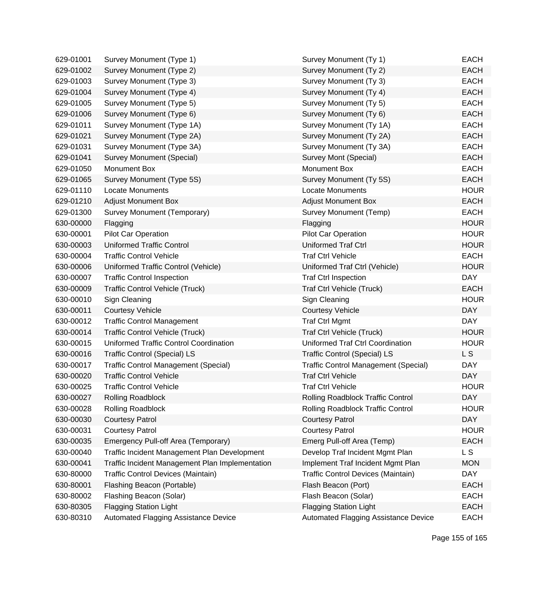| 629-01001 | Survey Monument (Type 1)                        | Survey Monument (Ty 1)                      | <b>EACH</b> |
|-----------|-------------------------------------------------|---------------------------------------------|-------------|
| 629-01002 | Survey Monument (Type 2)                        | Survey Monument (Ty 2)                      | <b>EACH</b> |
| 629-01003 | Survey Monument (Type 3)                        | Survey Monument (Ty 3)                      | <b>EACH</b> |
| 629-01004 | Survey Monument (Type 4)                        | Survey Monument (Ty 4)                      | <b>EACH</b> |
| 629-01005 | Survey Monument (Type 5)                        | Survey Monument (Ty 5)                      | <b>EACH</b> |
| 629-01006 | Survey Monument (Type 6)                        | Survey Monument (Ty 6)                      | <b>EACH</b> |
| 629-01011 | Survey Monument (Type 1A)                       | Survey Monument (Ty 1A)                     | <b>EACH</b> |
| 629-01021 | Survey Monument (Type 2A)                       | Survey Monument (Ty 2A)                     | <b>EACH</b> |
| 629-01031 | Survey Monument (Type 3A)                       | Survey Monument (Ty 3A)                     | <b>EACH</b> |
| 629-01041 | Survey Monument (Special)                       | Survey Mont (Special)                       | <b>EACH</b> |
| 629-01050 | Monument Box                                    | Monument Box                                | <b>EACH</b> |
| 629-01065 | Survey Monument (Type 5S)                       | Survey Monument (Ty 5S)                     | <b>EACH</b> |
| 629-01110 | <b>Locate Monuments</b>                         | <b>Locate Monuments</b>                     | <b>HOUR</b> |
| 629-01210 | <b>Adjust Monument Box</b>                      | <b>Adjust Monument Box</b>                  | <b>EACH</b> |
| 629-01300 | Survey Monument (Temporary)                     | Survey Monument (Temp)                      | <b>EACH</b> |
| 630-00000 | Flagging                                        | Flagging                                    | <b>HOUR</b> |
| 630-00001 | <b>Pilot Car Operation</b>                      | <b>Pilot Car Operation</b>                  | <b>HOUR</b> |
| 630-00003 | <b>Uniformed Traffic Control</b>                | <b>Uniformed Traf Ctrl</b>                  | <b>HOUR</b> |
| 630-00004 | <b>Traffic Control Vehicle</b>                  | <b>Traf Ctrl Vehicle</b>                    | <b>EACH</b> |
| 630-00006 | Uniformed Traffic Control (Vehicle)             | Uniformed Traf Ctrl (Vehicle)               | <b>HOUR</b> |
| 630-00007 | <b>Traffic Control Inspection</b>               | <b>Traf Ctrl Inspection</b>                 | <b>DAY</b>  |
| 630-00009 | <b>Traffic Control Vehicle (Truck)</b>          | Traf Ctrl Vehicle (Truck)                   | <b>EACH</b> |
| 630-00010 | Sign Cleaning                                   | Sign Cleaning                               | <b>HOUR</b> |
| 630-00011 | <b>Courtesy Vehicle</b>                         | <b>Courtesy Vehicle</b>                     | <b>DAY</b>  |
| 630-00012 | <b>Traffic Control Management</b>               | <b>Traf Ctrl Mgmt</b>                       | <b>DAY</b>  |
| 630-00014 | <b>Traffic Control Vehicle (Truck)</b>          | Traf Ctrl Vehicle (Truck)                   | <b>HOUR</b> |
| 630-00015 | <b>Uniformed Traffic Control Coordination</b>   | Uniformed Traf Ctrl Coordination            | <b>HOUR</b> |
| 630-00016 | <b>Traffic Control (Special) LS</b>             | <b>Traffic Control (Special) LS</b>         | L S         |
| 630-00017 | <b>Traffic Control Management (Special)</b>     | <b>Traffic Control Management (Special)</b> | <b>DAY</b>  |
| 630-00020 | <b>Traffic Control Vehicle</b>                  | <b>Traf Ctrl Vehicle</b>                    | <b>DAY</b>  |
| 630-00025 | <b>Traffic Control Vehicle</b>                  | <b>Traf Ctrl Vehicle</b>                    | <b>HOUR</b> |
| 630-00027 | <b>Rolling Roadblock</b>                        | Rolling Roadblock Traffic Control           | DAY         |
| 630-00028 | Rolling Roadblock                               | Rolling Roadblock Traffic Control           | <b>HOUR</b> |
| 630-00030 | <b>Courtesy Patrol</b>                          | <b>Courtesy Patrol</b>                      | <b>DAY</b>  |
| 630-00031 | <b>Courtesy Patrol</b>                          | <b>Courtesy Patrol</b>                      | <b>HOUR</b> |
| 630-00035 | Emergency Pull-off Area (Temporary)             | Emerg Pull-off Area (Temp)                  | <b>EACH</b> |
| 630-00040 | Traffic Incident Management Plan Development    | Develop Traf Incident Mgmt Plan             | L S         |
| 630-00041 | Traffic Incident Management Plan Implementation | Implement Traf Incident Mgmt Plan           | <b>MON</b>  |
| 630-80000 | Traffic Control Devices (Maintain)              | Traffic Control Devices (Maintain)          | <b>DAY</b>  |
| 630-80001 | Flashing Beacon (Portable)                      | Flash Beacon (Port)                         | <b>EACH</b> |
| 630-80002 | Flashing Beacon (Solar)                         | Flash Beacon (Solar)                        | <b>EACH</b> |
| 630-80305 | <b>Flagging Station Light</b>                   | <b>Flagging Station Light</b>               | <b>EACH</b> |
| 630-80310 | Automated Flagging Assistance Device            | Automated Flagging Assistance Device        | <b>EACH</b> |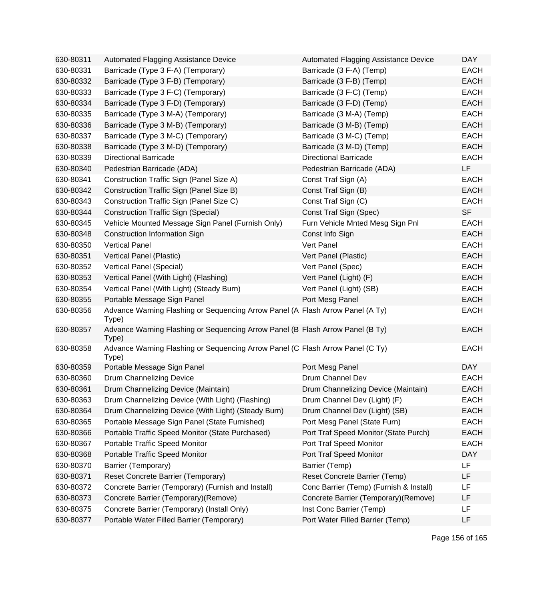| 630-80311 | Automated Flagging Assistance Device                                                    | Automated Flagging Assistance Device    | <b>DAY</b>  |
|-----------|-----------------------------------------------------------------------------------------|-----------------------------------------|-------------|
| 630-80331 | Barricade (Type 3 F-A) (Temporary)                                                      | Barricade (3 F-A) (Temp)                | <b>EACH</b> |
| 630-80332 | Barricade (Type 3 F-B) (Temporary)                                                      | Barricade (3 F-B) (Temp)                | <b>EACH</b> |
| 630-80333 | Barricade (Type 3 F-C) (Temporary)                                                      | Barricade (3 F-C) (Temp)                | <b>EACH</b> |
| 630-80334 | Barricade (Type 3 F-D) (Temporary)                                                      | Barricade (3 F-D) (Temp)                | <b>EACH</b> |
| 630-80335 | Barricade (Type 3 M-A) (Temporary)                                                      | Barricade (3 M-A) (Temp)                | <b>EACH</b> |
| 630-80336 | Barricade (Type 3 M-B) (Temporary)                                                      | Barricade (3 M-B) (Temp)                | <b>EACH</b> |
| 630-80337 | Barricade (Type 3 M-C) (Temporary)                                                      | Barricade (3 M-C) (Temp)                | <b>EACH</b> |
| 630-80338 | Barricade (Type 3 M-D) (Temporary)                                                      | Barricade (3 M-D) (Temp)                | <b>EACH</b> |
| 630-80339 | <b>Directional Barricade</b>                                                            | <b>Directional Barricade</b>            | <b>EACH</b> |
| 630-80340 | Pedestrian Barricade (ADA)                                                              | Pedestrian Barricade (ADA)              | LF          |
| 630-80341 | Construction Traffic Sign (Panel Size A)                                                | Const Traf Sign (A)                     | <b>EACH</b> |
| 630-80342 | Construction Traffic Sign (Panel Size B)                                                | Const Traf Sign (B)                     | <b>EACH</b> |
| 630-80343 | Construction Traffic Sign (Panel Size C)                                                | Const Traf Sign (C)                     | <b>EACH</b> |
| 630-80344 | <b>Construction Traffic Sign (Special)</b>                                              | Const Traf Sign (Spec)                  | <b>SF</b>   |
| 630-80345 | Vehicle Mounted Message Sign Panel (Furnish Only)                                       | Furn Vehicle Mnted Mesg Sign Pnl        | <b>EACH</b> |
| 630-80348 | Construction Information Sign                                                           | Const Info Sign                         | <b>EACH</b> |
| 630-80350 | <b>Vertical Panel</b>                                                                   | Vert Panel                              | <b>EACH</b> |
| 630-80351 | Vertical Panel (Plastic)                                                                | Vert Panel (Plastic)                    | <b>EACH</b> |
| 630-80352 | Vertical Panel (Special)                                                                | Vert Panel (Spec)                       | <b>EACH</b> |
| 630-80353 | Vertical Panel (With Light) (Flashing)                                                  | Vert Panel (Light) (F)                  | <b>EACH</b> |
| 630-80354 | Vertical Panel (With Light) (Steady Burn)                                               | Vert Panel (Light) (SB)                 | <b>EACH</b> |
| 630-80355 | Portable Message Sign Panel                                                             | Port Mesg Panel                         | <b>EACH</b> |
| 630-80356 | Advance Warning Flashing or Sequencing Arrow Panel (A Flash Arrow Panel (A Ty)<br>Type) |                                         | <b>EACH</b> |
| 630-80357 | Advance Warning Flashing or Sequencing Arrow Panel (B Flash Arrow Panel (B Ty)<br>Type) |                                         | <b>EACH</b> |
| 630-80358 | Advance Warning Flashing or Sequencing Arrow Panel (C Flash Arrow Panel (C Ty)<br>Type) |                                         | <b>EACH</b> |
| 630-80359 | Portable Message Sign Panel                                                             | Port Mesg Panel                         | <b>DAY</b>  |
| 630-80360 | Drum Channelizing Device                                                                | Drum Channel Dev                        | <b>EACH</b> |
| 630-80361 | Drum Channelizing Device (Maintain)                                                     | Drum Channelizing Device (Maintain)     | <b>EACH</b> |
| 630-80363 | Drum Channelizing Device (With Light) (Flashing)                                        | Drum Channel Dev (Light) (F)            | <b>EACH</b> |
| 630-80364 | Drum Channelizing Device (With Light) (Steady Burn)                                     | Drum Channel Dev (Light) (SB)           | <b>EACH</b> |
| 630-80365 | Portable Message Sign Panel (State Furnished)                                           | Port Mesg Panel (State Furn)            | <b>EACH</b> |
| 630-80366 | Portable Traffic Speed Monitor (State Purchased)                                        | Port Traf Speed Monitor (State Purch)   | <b>EACH</b> |
| 630-80367 | Portable Traffic Speed Monitor                                                          | Port Traf Speed Monitor                 | <b>EACH</b> |
| 630-80368 | Portable Traffic Speed Monitor                                                          | Port Traf Speed Monitor                 | <b>DAY</b>  |
| 630-80370 | Barrier (Temporary)                                                                     | Barrier (Temp)                          | LF          |
| 630-80371 | Reset Concrete Barrier (Temporary)                                                      | Reset Concrete Barrier (Temp)           | LF          |
| 630-80372 | Concrete Barrier (Temporary) (Furnish and Install)                                      | Conc Barrier (Temp) (Furnish & Install) | LF          |
| 630-80373 | Concrete Barrier (Temporary)(Remove)                                                    | Concrete Barrier (Temporary)(Remove)    | LF          |
| 630-80375 | Concrete Barrier (Temporary) (Install Only)                                             | Inst Conc Barrier (Temp)                | LF          |
| 630-80377 | Portable Water Filled Barrier (Temporary)                                               | Port Water Filled Barrier (Temp)        | LF          |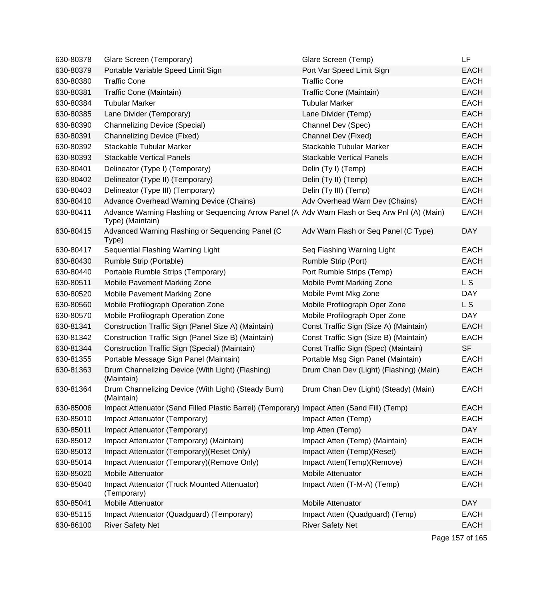| 630-80378 | Glare Screen (Temporary)                                                                                           | Glare Screen (Temp)                     | LF.             |
|-----------|--------------------------------------------------------------------------------------------------------------------|-----------------------------------------|-----------------|
| 630-80379 | Portable Variable Speed Limit Sign                                                                                 | Port Var Speed Limit Sign               | <b>EACH</b>     |
| 630-80380 | <b>Traffic Cone</b>                                                                                                | <b>Traffic Cone</b>                     | <b>EACH</b>     |
| 630-80381 | Traffic Cone (Maintain)                                                                                            | Traffic Cone (Maintain)                 | <b>EACH</b>     |
| 630-80384 | <b>Tubular Marker</b>                                                                                              | <b>Tubular Marker</b>                   | <b>EACH</b>     |
| 630-80385 | Lane Divider (Temporary)                                                                                           | Lane Divider (Temp)                     | <b>EACH</b>     |
| 630-80390 | <b>Channelizing Device (Special)</b>                                                                               | Channel Dev (Spec)                      | <b>EACH</b>     |
| 630-80391 | <b>Channelizing Device (Fixed)</b>                                                                                 | Channel Dev (Fixed)                     | <b>EACH</b>     |
| 630-80392 | Stackable Tubular Marker                                                                                           | Stackable Tubular Marker                | <b>EACH</b>     |
| 630-80393 | <b>Stackable Vertical Panels</b>                                                                                   | <b>Stackable Vertical Panels</b>        | <b>EACH</b>     |
| 630-80401 | Delineator (Type I) (Temporary)                                                                                    | Delin (Ty I) (Temp)                     | <b>EACH</b>     |
| 630-80402 | Delineator (Type II) (Temporary)                                                                                   | Delin (Ty II) (Temp)                    | <b>EACH</b>     |
| 630-80403 | Delineator (Type III) (Temporary)                                                                                  | Delin (Ty III) (Temp)                   | <b>EACH</b>     |
| 630-80410 | Advance Overhead Warning Device (Chains)                                                                           | Adv Overhead Warn Dev (Chains)          | <b>EACH</b>     |
| 630-80411 | Advance Warning Flashing or Sequencing Arrow Panel (A Adv Warn Flash or Seq Arw Pnl (A) (Main)<br>Type) (Maintain) |                                         | <b>EACH</b>     |
| 630-80415 | Advanced Warning Flashing or Sequencing Panel (C<br>Type)                                                          | Adv Warn Flash or Seq Panel (C Type)    | <b>DAY</b>      |
| 630-80417 | Sequential Flashing Warning Light                                                                                  | Seq Flashing Warning Light              | <b>EACH</b>     |
| 630-80430 | Rumble Strip (Portable)                                                                                            | Rumble Strip (Port)                     | <b>EACH</b>     |
| 630-80440 | Portable Rumble Strips (Temporary)                                                                                 | Port Rumble Strips (Temp)               | <b>EACH</b>     |
| 630-80511 | Mobile Pavement Marking Zone                                                                                       | Mobile Pvmt Marking Zone                | L S             |
| 630-80520 | Mobile Pavement Marking Zone                                                                                       | Mobile Pvmt Mkg Zone                    | <b>DAY</b>      |
| 630-80560 | Mobile Profilograph Operation Zone                                                                                 | Mobile Profilograph Oper Zone           | L S             |
| 630-80570 | Mobile Profilograph Operation Zone                                                                                 | Mobile Profilograph Oper Zone           | <b>DAY</b>      |
| 630-81341 | Construction Traffic Sign (Panel Size A) (Maintain)                                                                | Const Traffic Sign (Size A) (Maintain)  | <b>EACH</b>     |
| 630-81342 | Construction Traffic Sign (Panel Size B) (Maintain)                                                                | Const Traffic Sign (Size B) (Maintain)  | <b>EACH</b>     |
| 630-81344 | Construction Traffic Sign (Special) (Maintain)                                                                     | Const Traffic Sign (Spec) (Maintain)    | <b>SF</b>       |
| 630-81355 | Portable Message Sign Panel (Maintain)                                                                             | Portable Msg Sign Panel (Maintain)      | <b>EACH</b>     |
| 630-81363 | Drum Channelizing Device (With Light) (Flashing)<br>(Maintain)                                                     | Drum Chan Dev (Light) (Flashing) (Main) | <b>EACH</b>     |
| 630-81364 | Drum Channelizing Device (With Light) (Steady Burn)<br>(Maintain)                                                  | Drum Chan Dev (Light) (Steady) (Main)   | <b>EACH</b>     |
| 630-85006 | Impact Attenuator (Sand Filled Plastic Barrel) (Temporary) Impact Atten (Sand Fill) (Temp)                         |                                         | <b>EACH</b>     |
| 630-85010 | Impact Attenuator (Temporary)                                                                                      | Impact Atten (Temp)                     | <b>EACH</b>     |
| 630-85011 | Impact Attenuator (Temporary)                                                                                      | Imp Atten (Temp)                        | <b>DAY</b>      |
| 630-85012 | Impact Attenuator (Temporary) (Maintain)                                                                           | Impact Atten (Temp) (Maintain)          | <b>EACH</b>     |
| 630-85013 | Impact Attenuator (Temporary) (Reset Only)                                                                         | Impact Atten (Temp)(Reset)              | <b>EACH</b>     |
| 630-85014 | Impact Attenuator (Temporary) (Remove Only)                                                                        | Impact Atten(Temp)(Remove)              | <b>EACH</b>     |
| 630-85020 | Mobile Attenuator                                                                                                  | Mobile Attenuator                       | <b>EACH</b>     |
| 630-85040 | Impact Attenuator (Truck Mounted Attenuator)<br>(Temporary)                                                        | Impact Atten (T-M-A) (Temp)             | <b>EACH</b>     |
| 630-85041 | Mobile Attenuator                                                                                                  | Mobile Attenuator                       | <b>DAY</b>      |
| 630-85115 | Impact Attenuator (Quadguard) (Temporary)                                                                          | Impact Atten (Quadguard) (Temp)         | <b>EACH</b>     |
| 630-86100 | <b>River Safety Net</b>                                                                                            | <b>River Safety Net</b>                 | <b>EACH</b>     |
|           |                                                                                                                    |                                         | Page 157 of 165 |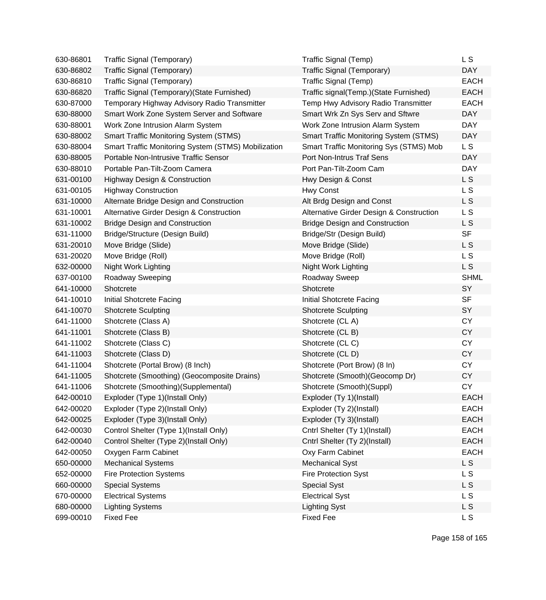| 630-86801 | Traffic Signal (Temporary)                          | Traffic Signal (Temp)                         | L S            |
|-----------|-----------------------------------------------------|-----------------------------------------------|----------------|
| 630-86802 | Traffic Signal (Temporary)                          | Traffic Signal (Temporary)                    | <b>DAY</b>     |
| 630-86810 | Traffic Signal (Temporary)                          | Traffic Signal (Temp)                         | <b>EACH</b>    |
| 630-86820 | Traffic Signal (Temporary) (State Furnished)        | Traffic signal(Temp.)(State Furnished)        | <b>EACH</b>    |
| 630-87000 | Temporary Highway Advisory Radio Transmitter        | Temp Hwy Advisory Radio Transmitter           | <b>EACH</b>    |
| 630-88000 | Smart Work Zone System Server and Software          | Smart Wrk Zn Sys Serv and Sftwre              | <b>DAY</b>     |
| 630-88001 | Work Zone Intrusion Alarm System                    | Work Zone Intrusion Alarm System              | <b>DAY</b>     |
| 630-88002 | <b>Smart Traffic Monitoring System (STMS)</b>       | <b>Smart Traffic Monitoring System (STMS)</b> | <b>DAY</b>     |
| 630-88004 | Smart Traffic Monitoring System (STMS) Mobilization | Smart Traffic Monitoring Sys (STMS) Mob       | L S            |
| 630-88005 | Portable Non-Intrusive Traffic Sensor               | Port Non-Intrus Traf Sens                     | <b>DAY</b>     |
| 630-88010 | Portable Pan-Tilt-Zoom Camera                       | Port Pan-Tilt-Zoom Cam                        | <b>DAY</b>     |
| 631-00100 | <b>Highway Design &amp; Construction</b>            | Hwy Design & Const                            | L S            |
| 631-00105 | <b>Highway Construction</b>                         | Hwy Const                                     | L S            |
| 631-10000 | Alternate Bridge Design and Construction            | Alt Brdg Design and Const                     | L S            |
| 631-10001 | Alternative Girder Design & Construction            | Alternative Girder Design & Construction      | L S            |
| 631-10002 | <b>Bridge Design and Construction</b>               | <b>Bridge Design and Construction</b>         | L S            |
| 631-11000 | Bridge/Structure (Design Build)                     | Bridge/Str (Design Build)                     | <b>SF</b>      |
| 631-20010 | Move Bridge (Slide)                                 | Move Bridge (Slide)                           | L S            |
| 631-20020 | Move Bridge (Roll)                                  | Move Bridge (Roll)                            | L S            |
| 632-00000 | Night Work Lighting                                 | Night Work Lighting                           | L S            |
| 637-00100 | <b>Roadway Sweeping</b>                             | Roadway Sweep                                 | <b>SHML</b>    |
| 641-10000 | Shotcrete                                           | Shotcrete                                     | SY             |
| 641-10010 | Initial Shotcrete Facing                            | Initial Shotcrete Facing                      | <b>SF</b>      |
| 641-10070 | <b>Shotcrete Sculpting</b>                          | <b>Shotcrete Sculpting</b>                    | SY             |
| 641-11000 | Shotcrete (Class A)                                 | Shotcrete (CLA)                               | <b>CY</b>      |
| 641-11001 | Shotcrete (Class B)                                 | Shotcrete (CL B)                              | <b>CY</b>      |
| 641-11002 | Shotcrete (Class C)                                 | Shotcrete (CLC)                               | <b>CY</b>      |
| 641-11003 | Shotcrete (Class D)                                 | Shotcrete (CLD)                               | <b>CY</b>      |
| 641-11004 | Shotcrete (Portal Brow) (8 Inch)                    | Shotcrete (Port Brow) (8 In)                  | <b>CY</b>      |
| 641-11005 | Shotcrete (Smoothing) (Geocomposite Drains)         | Shotcrete (Smooth) (Geocomp Dr)               | <b>CY</b>      |
| 641-11006 | Shotcrete (Smoothing)(Supplemental)                 | Shotcrete (Smooth)(Suppl)                     | <b>CY</b>      |
| 642-00010 | Exploder (Type 1)(Install Only)                     | Exploder (Ty 1)(Install)                      | EACH           |
| 642-00020 | Exploder (Type 2)(Install Only)                     | Exploder (Ty 2)(Install)                      | <b>EACH</b>    |
| 642-00025 | Exploder (Type 3)(Install Only)                     | Exploder (Ty 3)(Install)                      | <b>EACH</b>    |
| 642-00030 | Control Shelter (Type 1)(Install Only)              | Cntrl Shelter (Ty 1)(Install)                 | <b>EACH</b>    |
| 642-00040 | Control Shelter (Type 2)(Install Only)              | Cntrl Shelter (Ty 2)(Install)                 | <b>EACH</b>    |
| 642-00050 | Oxygen Farm Cabinet                                 | Oxy Farm Cabinet                              | <b>EACH</b>    |
| 650-00000 | <b>Mechanical Systems</b>                           | <b>Mechanical Syst</b>                        | L <sub>S</sub> |
| 652-00000 | <b>Fire Protection Systems</b>                      | <b>Fire Protection Syst</b>                   | L S            |
| 660-00000 | <b>Special Systems</b>                              | <b>Special Syst</b>                           | L S            |
| 670-00000 | <b>Electrical Systems</b>                           | <b>Electrical Syst</b>                        | L S            |
| 680-00000 | <b>Lighting Systems</b>                             | <b>Lighting Syst</b>                          | <b>LS</b>      |
| 699-00010 | <b>Fixed Fee</b>                                    | <b>Fixed Fee</b>                              | L S            |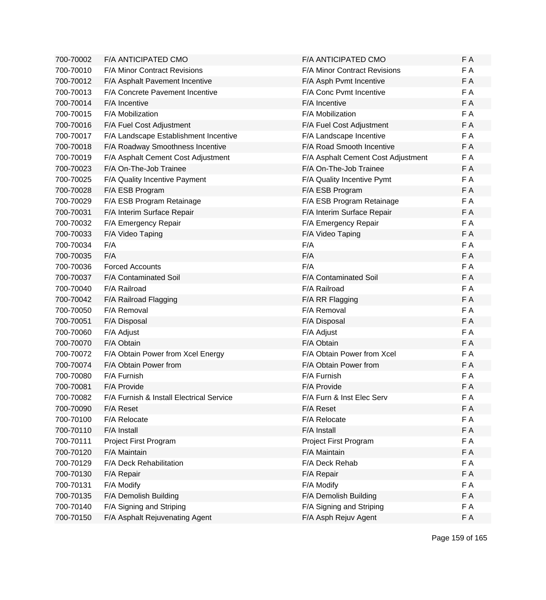| 700-70002 | <b>F/A ANTICIPATED CMO</b>               | F/A ANTICIPATED CMO                | F A |
|-----------|------------------------------------------|------------------------------------|-----|
| 700-70010 | F/A Minor Contract Revisions             | F/A Minor Contract Revisions       | F A |
| 700-70012 | F/A Asphalt Pavement Incentive           | F/A Asph Pvmt Incentive            | F A |
| 700-70013 | <b>F/A Concrete Pavement Incentive</b>   | F/A Conc Pvmt Incentive            | F A |
| 700-70014 | F/A Incentive                            | F/A Incentive                      | F A |
| 700-70015 | F/A Mobilization                         | F/A Mobilization                   | F A |
| 700-70016 | F/A Fuel Cost Adjustment                 | F/A Fuel Cost Adjustment           | F A |
| 700-70017 | F/A Landscape Establishment Incentive    | F/A Landscape Incentive            | F A |
| 700-70018 | F/A Roadway Smoothness Incentive         | F/A Road Smooth Incentive          | F A |
| 700-70019 | F/A Asphalt Cement Cost Adjustment       | F/A Asphalt Cement Cost Adjustment | F A |
| 700-70023 | F/A On-The-Job Trainee                   | F/A On-The-Job Trainee             | F A |
| 700-70025 | F/A Quality Incentive Payment            | F/A Quality Incentive Pymt         | F A |
| 700-70028 | F/A ESB Program                          | F/A ESB Program                    | F A |
| 700-70029 | F/A ESB Program Retainage                | F/A ESB Program Retainage          | F A |
| 700-70031 | F/A Interim Surface Repair               | F/A Interim Surface Repair         | F A |
| 700-70032 | F/A Emergency Repair                     | F/A Emergency Repair               | F A |
| 700-70033 | F/A Video Taping                         | F/A Video Taping                   | F A |
| 700-70034 | F/A                                      | F/A                                | F A |
| 700-70035 | F/A                                      | F/A                                | F A |
| 700-70036 | <b>Forced Accounts</b>                   | F/A                                | F A |
| 700-70037 | F/A Contaminated Soil                    | F/A Contaminated Soil              | F A |
| 700-70040 | F/A Railroad                             | F/A Railroad                       | F A |
| 700-70042 | F/A Railroad Flagging                    | F/A RR Flagging                    | F A |
| 700-70050 | F/A Removal                              | F/A Removal                        | F A |
| 700-70051 | F/A Disposal                             | F/A Disposal                       | F A |
| 700-70060 | F/A Adjust                               | F/A Adjust                         | F A |
| 700-70070 | F/A Obtain                               | F/A Obtain                         | F A |
| 700-70072 | F/A Obtain Power from Xcel Energy        | F/A Obtain Power from Xcel         | F A |
| 700-70074 | F/A Obtain Power from                    | F/A Obtain Power from              | F A |
| 700-70080 | F/A Furnish                              | F/A Furnish                        | F A |
| 700-70081 | F/A Provide                              | F/A Provide                        | F A |
| 700-70082 | F/A Furnish & Install Electrical Service | F/A Furn & Inst Elec Serv          | FΑ  |
| 700-70090 | F/A Reset                                | F/A Reset                          | F A |
| 700-70100 | F/A Relocate                             | F/A Relocate                       | F A |
| 700-70110 | F/A Install                              | F/A Install                        | F A |
| 700-70111 | Project First Program                    | Project First Program              | F A |
| 700-70120 | F/A Maintain                             | F/A Maintain                       | F A |
| 700-70129 | F/A Deck Rehabilitation                  | F/A Deck Rehab                     | F A |
| 700-70130 | F/A Repair                               | F/A Repair                         | F A |
| 700-70131 | F/A Modify                               | F/A Modify                         | F A |
| 700-70135 | F/A Demolish Building                    | F/A Demolish Building              | F A |
| 700-70140 | F/A Signing and Striping                 | F/A Signing and Striping           | F A |
| 700-70150 | F/A Asphalt Rejuvenating Agent           | F/A Asph Rejuv Agent               | F A |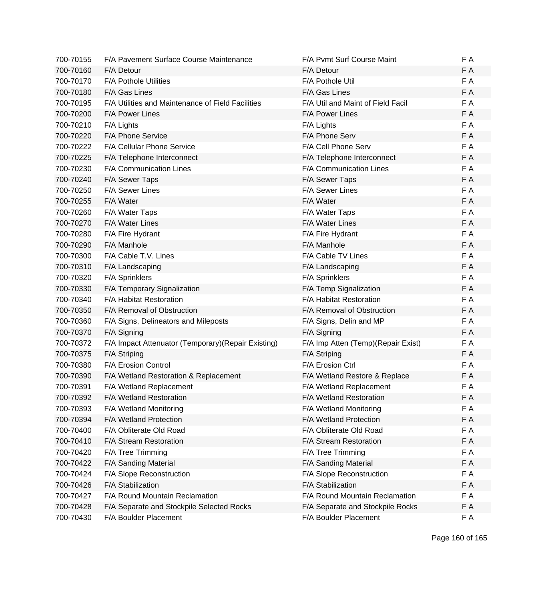| 700-70155 | F/A Pavement Surface Course Maintenance             | F/A Pvmt Surf Course Maint          | F A |
|-----------|-----------------------------------------------------|-------------------------------------|-----|
| 700-70160 | F/A Detour                                          | F/A Detour                          | F A |
| 700-70170 | F/A Pothole Utilities                               | F/A Pothole Util                    | F A |
| 700-70180 | F/A Gas Lines                                       | F/A Gas Lines                       | F A |
| 700-70195 | F/A Utilities and Maintenance of Field Facilities   | F/A Util and Maint of Field Facil   | F A |
| 700-70200 | <b>F/A Power Lines</b>                              | <b>F/A Power Lines</b>              | F A |
| 700-70210 | F/A Lights                                          | F/A Lights                          | F A |
| 700-70220 | F/A Phone Service                                   | F/A Phone Serv                      | F A |
| 700-70222 | F/A Cellular Phone Service                          | F/A Cell Phone Serv                 | F A |
| 700-70225 | F/A Telephone Interconnect                          | F/A Telephone Interconnect          | F A |
| 700-70230 | F/A Communication Lines                             | F/A Communication Lines             | F A |
| 700-70240 | F/A Sewer Taps                                      | F/A Sewer Taps                      | F A |
| 700-70250 | F/A Sewer Lines                                     | F/A Sewer Lines                     | F A |
| 700-70255 | F/A Water                                           | F/A Water                           | F A |
| 700-70260 | F/A Water Taps                                      | F/A Water Taps                      | F A |
| 700-70270 | F/A Water Lines                                     | F/A Water Lines                     | F A |
| 700-70280 | F/A Fire Hydrant                                    | F/A Fire Hydrant                    | F A |
| 700-70290 | F/A Manhole                                         | F/A Manhole                         | F A |
| 700-70300 | F/A Cable T.V. Lines                                | F/A Cable TV Lines                  | F A |
| 700-70310 | F/A Landscaping                                     | F/A Landscaping                     | F A |
| 700-70320 | F/A Sprinklers                                      | F/A Sprinklers                      | F A |
| 700-70330 | F/A Temporary Signalization                         | F/A Temp Signalization              | F A |
| 700-70340 | F/A Habitat Restoration                             | F/A Habitat Restoration             | F A |
| 700-70350 | F/A Removal of Obstruction                          | F/A Removal of Obstruction          | F A |
| 700-70360 | F/A Signs, Delineators and Mileposts                | F/A Signs, Delin and MP             | F A |
| 700-70370 | F/A Signing                                         | F/A Signing                         | F A |
| 700-70372 | F/A Impact Attenuator (Temporary) (Repair Existing) | F/A Imp Atten (Temp) (Repair Exist) | F A |
| 700-70375 | F/A Striping                                        | F/A Striping                        | F A |
| 700-70380 | F/A Erosion Control                                 | F/A Erosion Ctrl                    | F A |
| 700-70390 | F/A Wetland Restoration & Replacement               | F/A Wetland Restore & Replace       | F A |
| 700-70391 | F/A Wetland Replacement                             | F/A Wetland Replacement             | F A |
| 700-70392 | F/A Wetland Restoration                             | F/A Wetland Restoration             | F A |
| 700-70393 | F/A Wetland Monitoring                              | F/A Wetland Monitoring              | F A |
| 700-70394 | F/A Wetland Protection                              | F/A Wetland Protection              | F A |
| 700-70400 | F/A Obliterate Old Road                             | F/A Obliterate Old Road             | F A |
| 700-70410 | F/A Stream Restoration                              | F/A Stream Restoration              | F A |
| 700-70420 | F/A Tree Trimming                                   | F/A Tree Trimming                   | F A |
| 700-70422 | F/A Sanding Material                                | F/A Sanding Material                | F A |
| 700-70424 | F/A Slope Reconstruction                            | F/A Slope Reconstruction            | F A |
| 700-70426 | F/A Stabilization                                   | F/A Stabilization                   | F A |
| 700-70427 | F/A Round Mountain Reclamation                      | F/A Round Mountain Reclamation      | F A |
| 700-70428 | F/A Separate and Stockpile Selected Rocks           | F/A Separate and Stockpile Rocks    | F A |
| 700-70430 | F/A Boulder Placement                               | F/A Boulder Placement               | F A |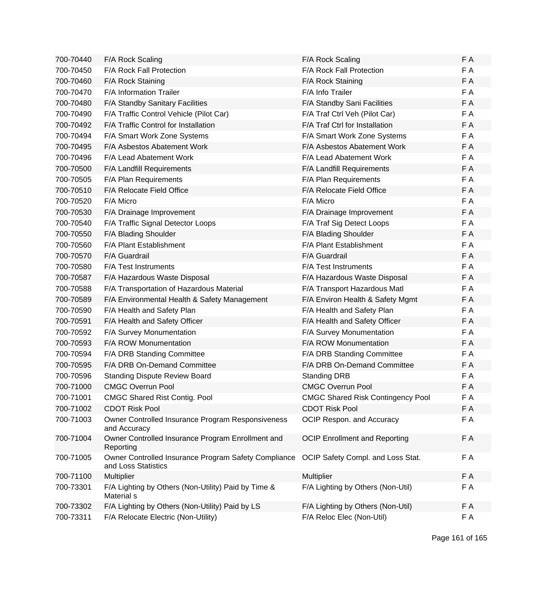| 700-70440 | F/A Rock Scaling                                                            | F/A Rock Scaling                         | F A |
|-----------|-----------------------------------------------------------------------------|------------------------------------------|-----|
| 700-70450 | F/A Rock Fall Protection                                                    | F/A Rock Fall Protection                 | F A |
| 700-70460 | F/A Rock Staining                                                           | F/A Rock Staining                        | F A |
| 700-70470 | <b>F/A Information Trailer</b>                                              | F/A Info Trailer                         | F A |
| 700-70480 | F/A Standby Sanitary Facilities                                             | F/A Standby Sani Facilities              | F A |
| 700-70490 | F/A Traffic Control Vehicle (Pilot Car)                                     | F/A Traf Ctrl Veh (Pilot Car)            | F A |
| 700-70492 | F/A Traffic Control for Installation                                        | F/A Traf Ctrl for Installation           | F A |
| 700-70494 | F/A Smart Work Zone Systems                                                 | F/A Smart Work Zone Systems              | F A |
| 700-70495 | F/A Asbestos Abatement Work                                                 | <b>F/A Asbestos Abatement Work</b>       | F A |
| 700-70496 | F/A Lead Abatement Work                                                     | F/A Lead Abatement Work                  | F A |
| 700-70500 | F/A Landfill Requirements                                                   | F/A Landfill Requirements                | F A |
| 700-70505 | F/A Plan Requirements                                                       | F/A Plan Requirements                    | F A |
| 700-70510 | F/A Relocate Field Office                                                   | F/A Relocate Field Office                | F A |
| 700-70520 | F/A Micro                                                                   | F/A Micro                                | F A |
| 700-70530 | F/A Drainage Improvement                                                    | F/A Drainage Improvement                 | F A |
| 700-70540 | F/A Traffic Signal Detector Loops                                           | F/A Traf Sig Detect Loops                | F A |
| 700-70550 | F/A Blading Shoulder                                                        | F/A Blading Shoulder                     | F A |
| 700-70560 | F/A Plant Establishment                                                     | F/A Plant Establishment                  | F A |
| 700-70570 | F/A Guardrail                                                               | F/A Guardrail                            | F A |
| 700-70580 | <b>F/A Test Instruments</b>                                                 | F/A Test Instruments                     | F A |
| 700-70587 | F/A Hazardous Waste Disposal                                                | F/A Hazardous Waste Disposal             | F A |
| 700-70588 | F/A Transportation of Hazardous Material                                    | F/A Transport Hazardous Matl             | F A |
| 700-70589 | F/A Environmental Health & Safety Management                                | F/A Environ Health & Safety Mgmt         | F A |
| 700-70590 | F/A Health and Safety Plan                                                  | F/A Health and Safety Plan               | F A |
| 700-70591 | F/A Health and Safety Officer                                               | F/A Health and Safety Officer            | F A |
| 700-70592 | F/A Survey Monumentation                                                    | F/A Survey Monumentation                 | F A |
| 700-70593 | F/A ROW Monumentation                                                       | <b>F/A ROW Monumentation</b>             | F A |
| 700-70594 | F/A DRB Standing Committee                                                  | F/A DRB Standing Committee               | F A |
| 700-70595 | F/A DRB On-Demand Committee                                                 | F/A DRB On-Demand Committee              | F A |
| 700-70596 | <b>Standing Dispute Review Board</b>                                        | <b>Standing DRB</b>                      | F A |
| 700-71000 | <b>CMGC Overrun Pool</b>                                                    | <b>CMGC Overrun Pool</b>                 | F A |
| 700-71001 | <b>CMGC Shared Rist Contig. Pool</b>                                        | <b>CMGC Shared Risk Contingency Pool</b> | FΑ  |
| 700-71002 | <b>CDOT Risk Pool</b>                                                       | <b>CDOT Risk Pool</b>                    | F A |
| 700-71003 | Owner Controlled Insurance Program Responsiveness<br>and Accuracy           | OCIP Respon. and Accuracy                | F A |
| 700-71004 | Owner Controlled Insurance Program Enrollment and<br>Reporting              | <b>OCIP Enrollment and Reporting</b>     | F A |
| 700-71005 | Owner Controlled Insurance Program Safety Compliance<br>and Loss Statistics | OCIP Safety Compl. and Loss Stat.        | F A |
| 700-71100 | <b>Multiplier</b>                                                           | Multiplier                               | F A |
| 700-73301 | F/A Lighting by Others (Non-Utility) Paid by Time &<br>Material s           | F/A Lighting by Others (Non-Util)        | F A |
| 700-73302 | F/A Lighting by Others (Non-Utility) Paid by LS                             | F/A Lighting by Others (Non-Util)        | F A |
| 700-73311 | F/A Relocate Electric (Non-Utility)                                         | F/A Reloc Elec (Non-Util)                | F A |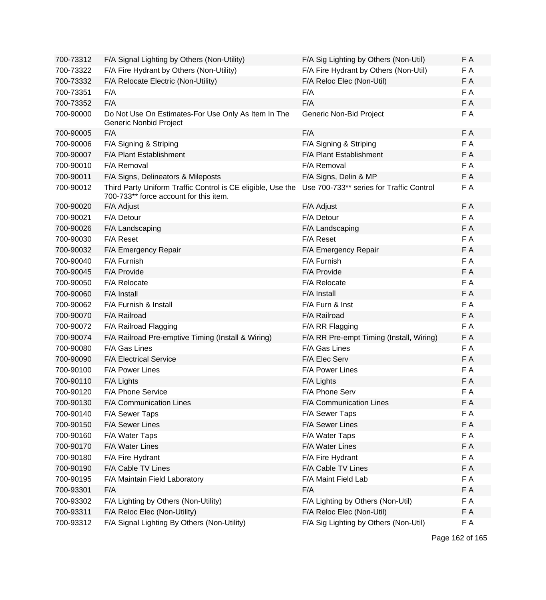| 700-73312 | F/A Signal Lighting by Others (Non-Utility)                                                           | F/A Sig Lighting by Others (Non-Util)    | F A |
|-----------|-------------------------------------------------------------------------------------------------------|------------------------------------------|-----|
| 700-73322 | F/A Fire Hydrant by Others (Non-Utility)                                                              | F/A Fire Hydrant by Others (Non-Util)    | F A |
| 700-73332 | F/A Relocate Electric (Non-Utility)                                                                   | F/A Reloc Elec (Non-Util)                | F A |
| 700-73351 | F/A                                                                                                   | F/A                                      | F A |
| 700-73352 | F/A                                                                                                   | F/A                                      | F A |
| 700-90000 | Do Not Use On Estimates-For Use Only As Item In The<br>Generic Nonbid Project                         | Generic Non-Bid Project                  | F A |
| 700-90005 | F/A                                                                                                   | F/A                                      | F A |
| 700-90006 | F/A Signing & Striping                                                                                | F/A Signing & Striping                   | F A |
| 700-90007 | F/A Plant Establishment                                                                               | F/A Plant Establishment                  | F A |
| 700-90010 | F/A Removal                                                                                           | F/A Removal                              | F A |
| 700-90011 | F/A Signs, Delineators & Mileposts                                                                    | F/A Signs, Delin & MP                    | F A |
| 700-90012 | Third Party Uniform Traffic Control is CE eligible, Use the<br>700-733** force account for this item. | Use 700-733** series for Traffic Control | F A |
| 700-90020 | F/A Adjust                                                                                            | F/A Adjust                               | F A |
| 700-90021 | F/A Detour                                                                                            | F/A Detour                               | F A |
| 700-90026 | F/A Landscaping                                                                                       | F/A Landscaping                          | F A |
| 700-90030 | F/A Reset                                                                                             | F/A Reset                                | F A |
| 700-90032 | F/A Emergency Repair                                                                                  | F/A Emergency Repair                     | F A |
| 700-90040 | F/A Furnish                                                                                           | F/A Furnish                              | F A |
| 700-90045 | F/A Provide                                                                                           | F/A Provide                              | F A |
| 700-90050 | F/A Relocate                                                                                          | F/A Relocate                             | F A |
| 700-90060 | F/A Install                                                                                           | F/A Install                              | F A |
| 700-90062 | F/A Furnish & Install                                                                                 | F/A Furn & Inst                          | F A |
| 700-90070 | F/A Railroad                                                                                          | F/A Railroad                             | F A |
| 700-90072 | F/A Railroad Flagging                                                                                 | F/A RR Flagging                          | F A |
| 700-90074 | F/A Railroad Pre-emptive Timing (Install & Wiring)                                                    | F/A RR Pre-empt Timing (Install, Wiring) | F A |
| 700-90080 | F/A Gas Lines                                                                                         | F/A Gas Lines                            | F A |
| 700-90090 | <b>F/A Electrical Service</b>                                                                         | F/A Elec Serv                            | F A |
| 700-90100 | F/A Power Lines                                                                                       | F/A Power Lines                          | F A |
| 700-90110 | F/A Lights                                                                                            | F/A Lights                               | F A |
| 700-90120 | F/A Phone Service                                                                                     | F/A Phone Serv                           | F A |
| 700-90130 | F/A Communication Lines                                                                               | F/A Communication Lines                  | F A |
| 700-90140 | F/A Sewer Taps                                                                                        | F/A Sewer Taps                           | F A |
| 700-90150 | F/A Sewer Lines                                                                                       | F/A Sewer Lines                          | F A |
| 700-90160 | F/A Water Taps                                                                                        | F/A Water Taps                           | F A |
| 700-90170 | F/A Water Lines                                                                                       | F/A Water Lines                          | F A |
| 700-90180 | F/A Fire Hydrant                                                                                      | F/A Fire Hydrant                         | F A |
| 700-90190 | F/A Cable TV Lines                                                                                    | F/A Cable TV Lines                       | F A |
| 700-90195 | F/A Maintain Field Laboratory                                                                         | F/A Maint Field Lab                      | F A |
| 700-93301 | F/A                                                                                                   | F/A                                      | F A |
| 700-93302 | F/A Lighting by Others (Non-Utility)                                                                  | F/A Lighting by Others (Non-Util)        | F A |
| 700-93311 | F/A Reloc Elec (Non-Utility)                                                                          | F/A Reloc Elec (Non-Util)                | F A |
| 700-93312 | F/A Signal Lighting By Others (Non-Utility)                                                           | F/A Sig Lighting by Others (Non-Util)    | F A |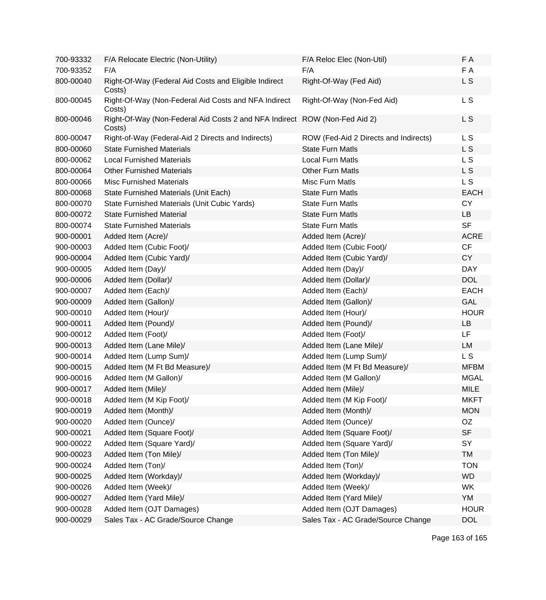| 700-93332 | F/A Relocate Electric (Non-Utility)                                                  | F/A Reloc Elec (Non-Util)             | F A            |
|-----------|--------------------------------------------------------------------------------------|---------------------------------------|----------------|
| 700-93352 | F/A                                                                                  | F/A                                   | F A            |
| 800-00040 | Right-Of-Way (Federal Aid Costs and Eligible Indirect<br>Costs)                      | Right-Of-Way (Fed Aid)                | L S            |
| 800-00045 | Right-Of-Way (Non-Federal Aid Costs and NFA Indirect<br>Costs)                       | Right-Of-Way (Non-Fed Aid)            | L S            |
| 800-00046 | Right-Of-Way (Non-Federal Aid Costs 2 and NFA Indirect ROW (Non-Fed Aid 2)<br>Costs) |                                       | L S            |
| 800-00047 | Right-of-Way (Federal-Aid 2 Directs and Indirects)                                   | ROW (Fed-Aid 2 Directs and Indirects) | L S            |
| 800-00060 | <b>State Furnished Materials</b>                                                     | <b>State Furn Matls</b>               | L <sub>S</sub> |
| 800-00062 | <b>Local Furnished Materials</b>                                                     | <b>Local Furn Matls</b>               | L S            |
| 800-00064 | <b>Other Furnished Materials</b>                                                     | <b>Other Furn Matls</b>               | L <sub>S</sub> |
| 800-00066 | <b>Misc Furnished Materials</b>                                                      | Misc Furn Matls                       | L S            |
| 800-00068 | State Furnished Materials (Unit Each)                                                | <b>State Furn Matls</b>               | <b>EACH</b>    |
| 800-00070 | State Furnished Materials (Unit Cubic Yards)                                         | <b>State Furn Matls</b>               | <b>CY</b>      |
| 800-00072 | <b>State Furnished Material</b>                                                      | <b>State Furn Matls</b>               | <b>LB</b>      |
| 800-00074 | <b>State Furnished Materials</b>                                                     | <b>State Furn Matls</b>               | <b>SF</b>      |
| 900-00001 | Added Item (Acre)/                                                                   | Added Item (Acre)/                    | <b>ACRE</b>    |
| 900-00003 | Added Item (Cubic Foot)/                                                             | Added Item (Cubic Foot)/              | CF             |
| 900-00004 | Added Item (Cubic Yard)/                                                             | Added Item (Cubic Yard)/              | <b>CY</b>      |
| 900-00005 | Added Item (Day)/                                                                    | Added Item (Day)/                     | <b>DAY</b>     |
| 900-00006 | Added Item (Dollar)/                                                                 | Added Item (Dollar)/                  | <b>DOL</b>     |
| 900-00007 | Added Item (Each)/                                                                   | Added Item (Each)/                    | <b>EACH</b>    |
| 900-00009 | Added Item (Gallon)/                                                                 | Added Item (Gallon)/                  | <b>GAL</b>     |
| 900-00010 | Added Item (Hour)/                                                                   | Added Item (Hour)/                    | <b>HOUR</b>    |
| 900-00011 | Added Item (Pound)/                                                                  | Added Item (Pound)/                   | LB             |
| 900-00012 | Added Item (Foot)/                                                                   | Added Item (Foot)/                    | LF             |
| 900-00013 | Added Item (Lane Mile)/                                                              | Added Item (Lane Mile)/               | LM             |
| 900-00014 | Added Item (Lump Sum)/                                                               | Added Item (Lump Sum)/                | L <sub>S</sub> |
| 900-00015 | Added Item (M Ft Bd Measure)/                                                        | Added Item (M Ft Bd Measure)/         | <b>MFBM</b>    |
| 900-00016 | Added Item (M Gallon)/                                                               | Added Item (M Gallon)/                | <b>MGAL</b>    |
| 900-00017 | Added Item (Mile)/                                                                   | Added Item (Mile)/                    | <b>MILE</b>    |
| 900-00018 | Added Item (M Kip Foot)/                                                             | Added Item (M Kip Foot)/              | <b>MKFT</b>    |
| 900-00019 | Added Item (Month)/                                                                  | Added Item (Month)/                   | <b>MON</b>     |
| 900-00020 | Added Item (Ounce)/                                                                  | Added Item (Ounce)/                   | OZ             |
| 900-00021 | Added Item (Square Foot)/                                                            | Added Item (Square Foot)/             | <b>SF</b>      |
| 900-00022 | Added Item (Square Yard)/                                                            | Added Item (Square Yard)/             | SY             |
| 900-00023 | Added Item (Ton Mile)/                                                               | Added Item (Ton Mile)/                | <b>TM</b>      |
| 900-00024 | Added Item (Ton)/                                                                    | Added Item (Ton)/                     | <b>TON</b>     |
| 900-00025 | Added Item (Workday)/                                                                | Added Item (Workday)/                 | <b>WD</b>      |
| 900-00026 | Added Item (Week)/                                                                   | Added Item (Week)/                    | WK             |
| 900-00027 | Added Item (Yard Mile)/                                                              | Added Item (Yard Mile)/               | YM             |
| 900-00028 | Added Item (OJT Damages)                                                             | Added Item (OJT Damages)              | <b>HOUR</b>    |
| 900-00029 | Sales Tax - AC Grade/Source Change                                                   | Sales Tax - AC Grade/Source Change    | <b>DOL</b>     |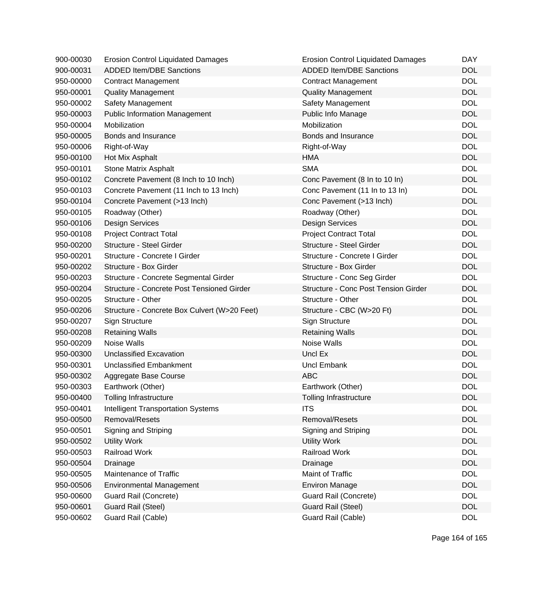| 900-00030 | <b>Erosion Control Liquidated Damages</b>    | <b>Erosion Control Liquidated Damages</b>   | <b>DAY</b> |
|-----------|----------------------------------------------|---------------------------------------------|------------|
| 900-00031 | <b>ADDED Item/DBE Sanctions</b>              | <b>ADDED Item/DBE Sanctions</b>             | <b>DOL</b> |
| 950-00000 | <b>Contract Management</b>                   | <b>Contract Management</b>                  | <b>DOL</b> |
| 950-00001 | <b>Quality Management</b>                    | <b>Quality Management</b>                   | <b>DOL</b> |
| 950-00002 | Safety Management                            | Safety Management                           | <b>DOL</b> |
| 950-00003 | <b>Public Information Management</b>         | Public Info Manage                          | <b>DOL</b> |
| 950-00004 | Mobilization                                 | Mobilization                                | <b>DOL</b> |
| 950-00005 | Bonds and Insurance                          | Bonds and Insurance                         | <b>DOL</b> |
| 950-00006 | Right-of-Way                                 | Right-of-Way                                | <b>DOL</b> |
| 950-00100 | Hot Mix Asphalt                              | <b>HMA</b>                                  | <b>DOL</b> |
| 950-00101 | Stone Matrix Asphalt                         | <b>SMA</b>                                  | <b>DOL</b> |
| 950-00102 | Concrete Pavement (8 Inch to 10 Inch)        | Conc Pavement (8 In to 10 In)               | <b>DOL</b> |
| 950-00103 | Concrete Pavement (11 Inch to 13 Inch)       | Conc Pavement (11 In to 13 In)              | <b>DOL</b> |
| 950-00104 | Concrete Pavement (>13 Inch)                 | Conc Pavement (>13 Inch)                    | <b>DOL</b> |
| 950-00105 | Roadway (Other)                              | Roadway (Other)                             | <b>DOL</b> |
| 950-00106 | <b>Design Services</b>                       | <b>Design Services</b>                      | <b>DOL</b> |
| 950-00108 | <b>Project Contract Total</b>                | <b>Project Contract Total</b>               | <b>DOL</b> |
| 950-00200 | Structure - Steel Girder                     | Structure - Steel Girder                    | <b>DOL</b> |
| 950-00201 | Structure - Concrete I Girder                | Structure - Concrete I Girder               | <b>DOL</b> |
| 950-00202 | Structure - Box Girder                       | Structure - Box Girder                      | <b>DOL</b> |
| 950-00203 | Structure - Concrete Segmental Girder        | Structure - Conc Seg Girder                 | <b>DOL</b> |
| 950-00204 | Structure - Concrete Post Tensioned Girder   | <b>Structure - Conc Post Tension Girder</b> | <b>DOL</b> |
| 950-00205 | Structure - Other                            | Structure - Other                           | <b>DOL</b> |
| 950-00206 | Structure - Concrete Box Culvert (W>20 Feet) | Structure - CBC (W>20 Ft)                   | <b>DOL</b> |
| 950-00207 | Sign Structure                               | Sign Structure                              | <b>DOL</b> |
| 950-00208 | <b>Retaining Walls</b>                       | <b>Retaining Walls</b>                      | <b>DOL</b> |
| 950-00209 | Noise Walls                                  | Noise Walls                                 | <b>DOL</b> |
| 950-00300 | <b>Unclassified Excavation</b>               | Uncl Ex                                     | <b>DOL</b> |
| 950-00301 | <b>Unclassified Embankment</b>               | <b>Uncl Embank</b>                          | <b>DOL</b> |
| 950-00302 | Aggregate Base Course                        | <b>ABC</b>                                  | <b>DOL</b> |
| 950-00303 | Earthwork (Other)                            | Earthwork (Other)                           | <b>DOL</b> |
| 950-00400 | <b>Tolling Infrastructure</b>                | Tolling Infrastructure                      | <b>DOL</b> |
| 950-00401 | <b>Intelligent Transportation Systems</b>    | <b>ITS</b>                                  | <b>DOL</b> |
| 950-00500 | Removal/Resets                               | Removal/Resets                              | <b>DOL</b> |
| 950-00501 | Signing and Striping                         | Signing and Striping                        | <b>DOL</b> |
| 950-00502 | <b>Utility Work</b>                          | <b>Utility Work</b>                         | <b>DOL</b> |
| 950-00503 | Railroad Work                                | <b>Railroad Work</b>                        | <b>DOL</b> |
| 950-00504 | Drainage                                     | Drainage                                    | <b>DOL</b> |
| 950-00505 | Maintenance of Traffic                       | Maint of Traffic                            | <b>DOL</b> |
| 950-00506 | <b>Environmental Management</b>              | <b>Environ Manage</b>                       | <b>DOL</b> |
| 950-00600 | Guard Rail (Concrete)                        | Guard Rail (Concrete)                       | <b>DOL</b> |
| 950-00601 | Guard Rail (Steel)                           | <b>Guard Rail (Steel)</b>                   | <b>DOL</b> |
| 950-00602 | Guard Rail (Cable)                           | Guard Rail (Cable)                          | <b>DOL</b> |